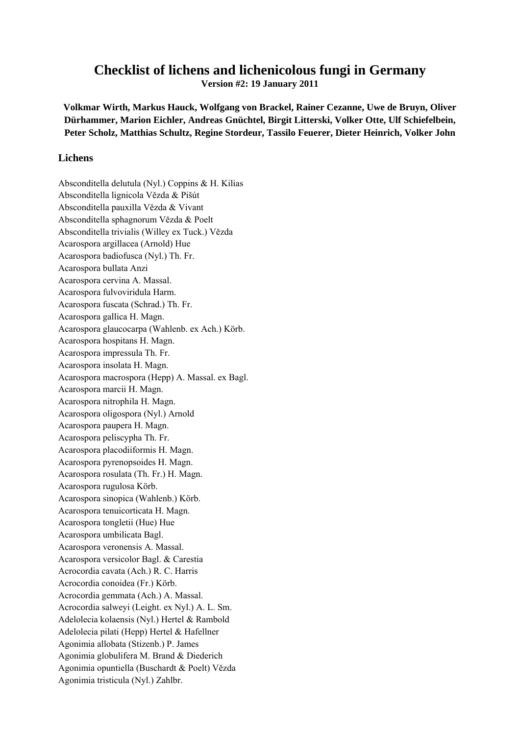## **Checklist of lichens and lichenicolous fungi in Germany**

**Version #2: 19 January 2011** 

**Volkmar Wirth, Markus Hauck, Wolfgang von Brackel, Rainer Cezanne, Uwe de Bruyn, Oliver Dürhammer, Marion Eichler, Andreas Gnüchtel, Birgit Litterski, Volker Otte, Ulf Schiefelbein, Peter Scholz, Matthias Schultz, Regine Stordeur, Tassilo Feuerer, Dieter Heinrich, Volker John** 

## **Lichens**

Absconditella delutula (Nyl.) Coppins & H. Kilias Absconditella lignicola Vězda & Pišút Absconditella pauxilla Vězda & Vivant Absconditella sphagnorum Vězda & Poelt Absconditella trivialis (Willey ex Tuck.) Vězda Acarospora argillacea (Arnold) Hue Acarospora badiofusca (Nyl.) Th. Fr. Acarospora bullata Anzi Acarospora cervina A. Massal. Acarospora fulvoviridula Harm. Acarospora fuscata (Schrad.) Th. Fr. Acarospora gallica H. Magn. Acarospora glaucocarpa (Wahlenb. ex Ach.) Körb. Acarospora hospitans H. Magn. Acarospora impressula Th. Fr. Acarospora insolata H. Magn. Acarospora macrospora (Hepp) A. Massal. ex Bagl. Acarospora marcii H. Magn. Acarospora nitrophila H. Magn. Acarospora oligospora (Nyl.) Arnold Acarospora paupera H. Magn. Acarospora peliscypha Th. Fr. Acarospora placodiiformis H. Magn. Acarospora pyrenopsoides H. Magn. Acarospora rosulata (Th. Fr.) H. Magn. Acarospora rugulosa Körb. Acarospora sinopica (Wahlenb.) Körb. Acarospora tenuicorticata H. Magn. Acarospora tongletii (Hue) Hue Acarospora umbilicata Bagl. Acarospora veronensis A. Massal. Acarospora versicolor Bagl. & Carestia Acrocordia cavata (Ach.) R. C. Harris Acrocordia conoidea (Fr.) Körb. Acrocordia gemmata (Ach.) A. Massal. Acrocordia salweyi (Leight. ex Nyl.) A. L. Sm. Adelolecia kolaensis (Nyl.) Hertel & Rambold Adelolecia pilati (Hepp) Hertel & Hafellner Agonimia allobata (Stizenb.) P. James Agonimia globulifera M. Brand & Diederich Agonimia opuntiella (Buschardt & Poelt) Vězda Agonimia tristicula (Nyl.) Zahlbr.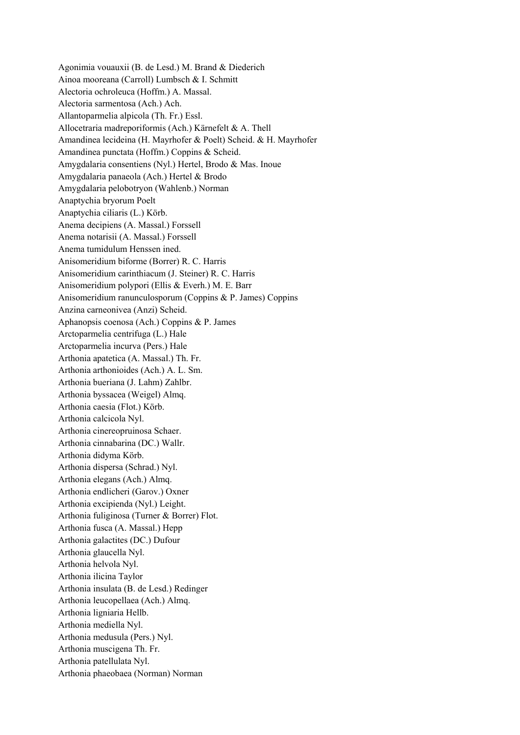Agonimia vouauxii (B. de Lesd.) M. Brand & Diederich Ainoa mooreana (Carroll) Lumbsch & I. Schmitt Alectoria ochroleuca (Hoffm.) A. Massal. Alectoria sarmentosa (Ach.) Ach. Allantoparmelia alpicola (Th. Fr.) Essl. Allocetraria madreporiformis (Ach.) Kärnefelt & A. Thell Amandinea lecideina (H. Mayrhofer & Poelt) Scheid. & H. Mayrhofer Amandinea punctata (Hoffm.) Coppins & Scheid. Amygdalaria consentiens (Nyl.) Hertel, Brodo & Mas. Inoue Amygdalaria panaeola (Ach.) Hertel & Brodo Amygdalaria pelobotryon (Wahlenb.) Norman Anaptychia bryorum Poelt Anaptychia ciliaris (L.) Körb. Anema decipiens (A. Massal.) Forssell Anema notarisii (A. Massal.) Forssell Anema tumidulum Henssen ined. Anisomeridium biforme (Borrer) R. C. Harris Anisomeridium carinthiacum (J. Steiner) R. C. Harris Anisomeridium polypori (Ellis & Everh.) M. E. Barr Anisomeridium ranunculosporum (Coppins & P. James) Coppins Anzina carneonivea (Anzi) Scheid. Aphanopsis coenosa (Ach.) Coppins & P. James Arctoparmelia centrifuga (L.) Hale Arctoparmelia incurva (Pers.) Hale Arthonia apatetica (A. Massal.) Th. Fr. Arthonia arthonioides (Ach.) A. L. Sm. Arthonia bueriana (J. Lahm) Zahlbr. Arthonia byssacea (Weigel) Almq. Arthonia caesia (Flot.) Körb. Arthonia calcicola Nyl. Arthonia cinereopruinosa Schaer. Arthonia cinnabarina (DC.) Wallr. Arthonia didyma Körb. Arthonia dispersa (Schrad.) Nyl. Arthonia elegans (Ach.) Almq. Arthonia endlicheri (Garov.) Oxner Arthonia excipienda (Nyl.) Leight. Arthonia fuliginosa (Turner & Borrer) Flot. Arthonia fusca (A. Massal.) Hepp Arthonia galactites (DC.) Dufour Arthonia glaucella Nyl. Arthonia helvola Nyl. Arthonia ilicina Taylor Arthonia insulata (B. de Lesd.) Redinger Arthonia leucopellaea (Ach.) Almq. Arthonia ligniaria Hellb. Arthonia mediella Nyl. Arthonia medusula (Pers.) Nyl. Arthonia muscigena Th. Fr. Arthonia patellulata Nyl. Arthonia phaeobaea (Norman) Norman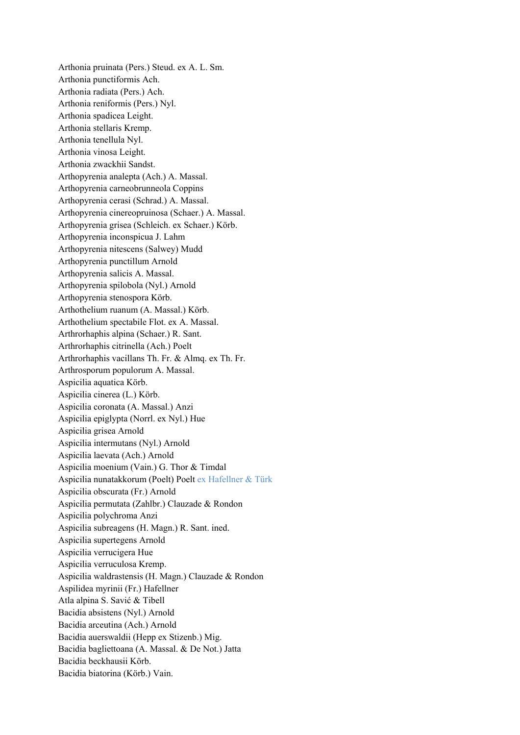Arthonia pruinata (Pers.) Steud. ex A. L. Sm. Arthonia punctiformis Ach. Arthonia radiata (Pers.) Ach. Arthonia reniformis (Pers.) Nyl. Arthonia spadicea Leight. Arthonia stellaris Kremp. Arthonia tenellula Nyl. Arthonia vinosa Leight. Arthonia zwackhii Sandst. Arthopyrenia analepta (Ach.) A. Massal. Arthopyrenia carneobrunneola Coppins Arthopyrenia cerasi (Schrad.) A. Massal. Arthopyrenia cinereopruinosa (Schaer.) A. Massal. Arthopyrenia grisea (Schleich. ex Schaer.) Körb. Arthopyrenia inconspicua J. Lahm Arthopyrenia nitescens (Salwey) Mudd Arthopyrenia punctillum Arnold Arthopyrenia salicis A. Massal. Arthopyrenia spilobola (Nyl.) Arnold Arthopyrenia stenospora Körb. Arthothelium ruanum (A. Massal.) Körb. Arthothelium spectabile Flot. ex A. Massal. Arthrorhaphis alpina (Schaer.) R. Sant. Arthrorhaphis citrinella (Ach.) Poelt Arthrorhaphis vacillans Th. Fr. & Almq. ex Th. Fr. Arthrosporum populorum A. Massal. Aspicilia aquatica Körb. Aspicilia cinerea (L.) Körb. Aspicilia coronata (A. Massal.) Anzi Aspicilia epiglypta (Norrl. ex Nyl.) Hue Aspicilia grisea Arnold Aspicilia intermutans (Nyl.) Arnold Aspicilia laevata (Ach.) Arnold Aspicilia moenium (Vain.) G. Thor & Timdal Aspicilia nunatakkorum (Poelt) Poelt ex Hafellner & Türk Aspicilia obscurata (Fr.) Arnold Aspicilia permutata (Zahlbr.) Clauzade & Rondon Aspicilia polychroma Anzi Aspicilia subreagens (H. Magn.) R. Sant. ined. Aspicilia supertegens Arnold Aspicilia verrucigera Hue Aspicilia verruculosa Kremp. Aspicilia waldrastensis (H. Magn.) Clauzade & Rondon Aspilidea myrinii (Fr.) Hafellner Atla alpina S. Savić & Tibell Bacidia absistens (Nyl.) Arnold Bacidia arceutina (Ach.) Arnold Bacidia auerswaldii (Hepp ex Stizenb.) Mig. Bacidia bagliettoana (A. Massal. & De Not.) Jatta Bacidia beckhausii Körb. Bacidia biatorina (Körb.) Vain.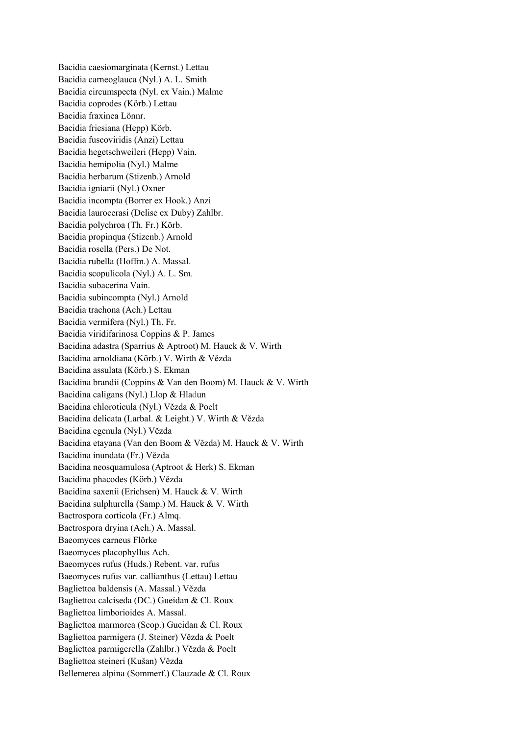Bacidia caesiomarginata (Kernst.) Lettau Bacidia carneoglauca (Nyl.) A. L. Smith Bacidia circumspecta (Nyl. ex Vain.) Malme Bacidia coprodes (Körb.) Lettau Bacidia fraxinea Lönnr. Bacidia friesiana (Hepp) Körb. Bacidia fuscoviridis (Anzi) Lettau Bacidia hegetschweileri (Hepp) Vain. Bacidia hemipolia (Nyl.) Malme Bacidia herbarum (Stizenb.) Arnold Bacidia igniarii (Nyl.) Oxner Bacidia incompta (Borrer ex Hook.) Anzi Bacidia laurocerasi (Delise ex Duby) Zahlbr. Bacidia polychroa (Th. Fr.) Körb. Bacidia propinqua (Stizenb.) Arnold Bacidia rosella (Pers.) De Not. Bacidia rubella (Hoffm.) A. Massal. Bacidia scopulicola (Nyl.) A. L. Sm. Bacidia subacerina Vain. Bacidia subincompta (Nyl.) Arnold Bacidia trachona (Ach.) Lettau Bacidia vermifera (Nyl.) Th. Fr. Bacidia viridifarinosa Coppins & P. James Bacidina adastra (Sparrius & Aptroot) M. Hauck & V. Wirth Bacidina arnoldiana (Körb.) V. Wirth & Vězda Bacidina assulata (Körb.) S. Ekman Bacidina brandii (Coppins & Van den Boom) M. Hauck & V. Wirth Bacidina caligans (Nyl.) Llop & Hladun Bacidina chloroticula (Nyl.) Vězda & Poelt Bacidina delicata (Larbal. & Leight.) V. Wirth & Vězda Bacidina egenula (Nyl.) Vězda Bacidina etayana (Van den Boom & Vězda) M. Hauck & V. Wirth Bacidina inundata (Fr.) Vězda Bacidina neosquamulosa (Aptroot & Herk) S. Ekman Bacidina phacodes (Körb.) Vězda Bacidina saxenii (Erichsen) M. Hauck & V. Wirth Bacidina sulphurella (Samp.) M. Hauck & V. Wirth Bactrospora corticola (Fr.) Almq. Bactrospora dryina (Ach.) A. Massal. Baeomyces carneus Flörke Baeomyces placophyllus Ach. Baeomyces rufus (Huds.) Rebent. var. rufus Baeomyces rufus var. callianthus (Lettau) Lettau Bagliettoa baldensis (A. Massal.) Vězda Bagliettoa calciseda (DC.) Gueidan & Cl. Roux Bagliettoa limborioides A. Massal. Bagliettoa marmorea (Scop.) Gueidan & Cl. Roux Bagliettoa parmigera (J. Steiner) Vězda & Poelt Bagliettoa parmigerella (Zahlbr.) Vězda & Poelt Bagliettoa steineri (Kušan) Vězda Bellemerea alpina (Sommerf.) Clauzade & Cl. Roux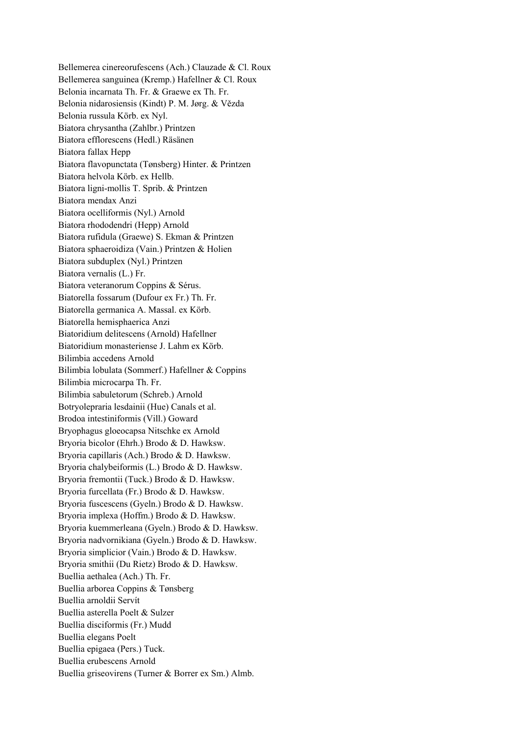Bellemerea cinereorufescens (Ach.) Clauzade & Cl. Roux Bellemerea sanguinea (Kremp.) Hafellner & Cl. Roux Belonia incarnata Th. Fr. & Graewe ex Th. Fr. Belonia nidarosiensis (Kindt) P. M. Jørg. & Vězda Belonia russula Körb. ex Nyl. Biatora chrysantha (Zahlbr.) Printzen Biatora efflorescens (Hedl.) Räsänen Biatora fallax Hepp Biatora flavopunctata (Tønsberg) Hinter. & Printzen Biatora helvola Körb. ex Hellb. Biatora ligni-mollis T. Sprib. & Printzen Biatora mendax Anzi Biatora ocelliformis (Nyl.) Arnold Biatora rhododendri (Hepp) Arnold Biatora rufidula (Graewe) S. Ekman & Printzen Biatora sphaeroidiza (Vain.) Printzen & Holien Biatora subduplex (Nyl.) Printzen Biatora vernalis (L.) Fr. Biatora veteranorum Coppins & Sérus. Biatorella fossarum (Dufour ex Fr.) Th. Fr. Biatorella germanica A. Massal. ex Körb. Biatorella hemisphaerica Anzi Biatoridium delitescens (Arnold) Hafellner Biatoridium monasteriense J. Lahm ex Körb. Bilimbia accedens Arnold Bilimbia lobulata (Sommerf.) Hafellner & Coppins Bilimbia microcarpa Th. Fr. Bilimbia sabuletorum (Schreb.) Arnold Botryolepraria lesdainii (Hue) Canals et al. Brodoa intestiniformis (Vill.) Goward Bryophagus gloeocapsa Nitschke ex Arnold Bryoria bicolor (Ehrh.) Brodo & D. Hawksw. Bryoria capillaris (Ach.) Brodo & D. Hawksw. Bryoria chalybeiformis (L.) Brodo & D. Hawksw. Bryoria fremontii (Tuck.) Brodo & D. Hawksw. Bryoria furcellata (Fr.) Brodo & D. Hawksw. Bryoria fuscescens (Gyeln.) Brodo & D. Hawksw. Bryoria implexa (Hoffm.) Brodo & D. Hawksw. Bryoria kuemmerleana (Gyeln.) Brodo & D. Hawksw. Bryoria nadvornikiana (Gyeln.) Brodo & D. Hawksw. Bryoria simplicior (Vain.) Brodo & D. Hawksw. Bryoria smithii (Du Rietz) Brodo & D. Hawksw. Buellia aethalea (Ach.) Th. Fr. Buellia arborea Coppins & Tønsberg Buellia arnoldii Servít Buellia asterella Poelt & Sulzer Buellia disciformis (Fr.) Mudd Buellia elegans Poelt Buellia epigaea (Pers.) Tuck. Buellia erubescens Arnold Buellia griseovirens (Turner & Borrer ex Sm.) Almb.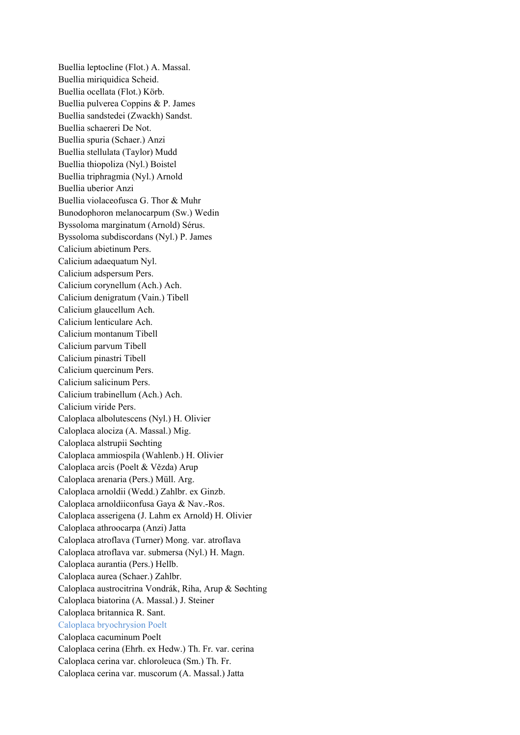Buellia leptocline (Flot.) A. Massal. Buellia miriquidica Scheid. Buellia ocellata (Flot.) Körb. Buellia pulverea Coppins & P. James Buellia sandstedei (Zwackh) Sandst. Buellia schaereri De Not. Buellia spuria (Schaer.) Anzi Buellia stellulata (Taylor) Mudd Buellia thiopoliza (Nyl.) Boistel Buellia triphragmia (Nyl.) Arnold Buellia uberior Anzi Buellia violaceofusca G. Thor & Muhr Bunodophoron melanocarpum (Sw.) Wedin Byssoloma marginatum (Arnold) Sérus. Byssoloma subdiscordans (Nyl.) P. James Calicium abietinum Pers. Calicium adaequatum Nyl. Calicium adspersum Pers. Calicium corynellum (Ach.) Ach. Calicium denigratum (Vain.) Tibell Calicium glaucellum Ach. Calicium lenticulare Ach. Calicium montanum Tibell Calicium parvum Tibell Calicium pinastri Tibell Calicium quercinum Pers. Calicium salicinum Pers. Calicium trabinellum (Ach.) Ach. Calicium viride Pers. Caloplaca albolutescens (Nyl.) H. Olivier Caloplaca alociza (A. Massal.) Mig. Caloplaca alstrupii Søchting Caloplaca ammiospila (Wahlenb.) H. Olivier Caloplaca arcis (Poelt & Vězda) Arup Caloplaca arenaria (Pers.) Müll. Arg. Caloplaca arnoldii (Wedd.) Zahlbr. ex Ginzb. Caloplaca arnoldiiconfusa Gaya & Nav.-Ros. Caloplaca asserigena (J. Lahm ex Arnold) H. Olivier Caloplaca athroocarpa (Anzi) Jatta Caloplaca atroflava (Turner) Mong. var. atroflava Caloplaca atroflava var. submersa (Nyl.) H. Magn. Caloplaca aurantia (Pers.) Hellb. Caloplaca aurea (Schaer.) Zahlbr. Caloplaca austrocitrina Vondrák, Riha, Arup & Søchting Caloplaca biatorina (A. Massal.) J. Steiner Caloplaca britannica R. Sant. Caloplaca bryochrysion Poelt Caloplaca cacuminum Poelt Caloplaca cerina (Ehrh. ex Hedw.) Th. Fr. var. cerina Caloplaca cerina var. chloroleuca (Sm.) Th. Fr. Caloplaca cerina var. muscorum (A. Massal.) Jatta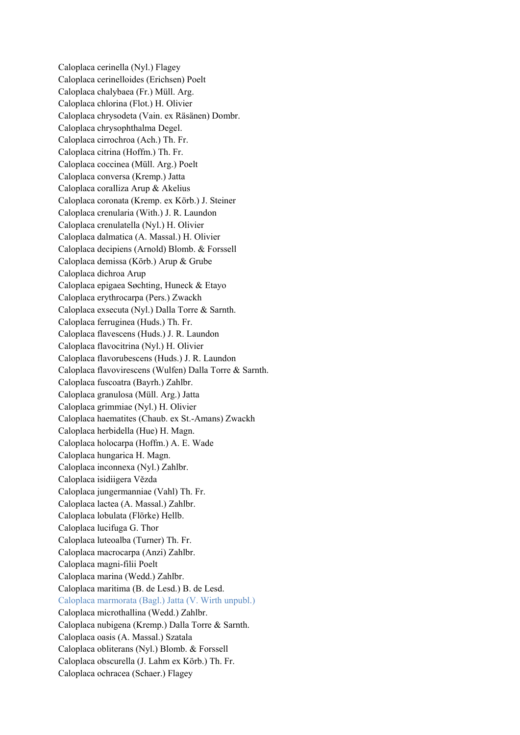Caloplaca cerinella (Nyl.) Flagey Caloplaca cerinelloides (Erichsen) Poelt Caloplaca chalybaea (Fr.) Müll. Arg. Caloplaca chlorina (Flot.) H. Olivier Caloplaca chrysodeta (Vain. ex Räsänen) Dombr. Caloplaca chrysophthalma Degel. Caloplaca cirrochroa (Ach.) Th. Fr. Caloplaca citrina (Hoffm.) Th. Fr. Caloplaca coccinea (Müll. Arg.) Poelt Caloplaca conversa (Kremp.) Jatta Caloplaca coralliza Arup & Akelius Caloplaca coronata (Kremp. ex Körb.) J. Steiner Caloplaca crenularia (With.) J. R. Laundon Caloplaca crenulatella (Nyl.) H. Olivier Caloplaca dalmatica (A. Massal.) H. Olivier Caloplaca decipiens (Arnold) Blomb. & Forssell Caloplaca demissa (Körb.) Arup & Grube Caloplaca dichroa Arup Caloplaca epigaea Søchting, Huneck & Etayo Caloplaca erythrocarpa (Pers.) Zwackh Caloplaca exsecuta (Nyl.) Dalla Torre & Sarnth. Caloplaca ferruginea (Huds.) Th. Fr. Caloplaca flavescens (Huds.) J. R. Laundon Caloplaca flavocitrina (Nyl.) H. Olivier Caloplaca flavorubescens (Huds.) J. R. Laundon Caloplaca flavovirescens (Wulfen) Dalla Torre & Sarnth. Caloplaca fuscoatra (Bayrh.) Zahlbr. Caloplaca granulosa (Müll. Arg.) Jatta Caloplaca grimmiae (Nyl.) H. Olivier Caloplaca haematites (Chaub. ex St.-Amans) Zwackh Caloplaca herbidella (Hue) H. Magn. Caloplaca holocarpa (Hoffm.) A. E. Wade Caloplaca hungarica H. Magn. Caloplaca inconnexa (Nyl.) Zahlbr. Caloplaca isidiigera Vězda Caloplaca jungermanniae (Vahl) Th. Fr. Caloplaca lactea (A. Massal.) Zahlbr. Caloplaca lobulata (Flörke) Hellb. Caloplaca lucifuga G. Thor Caloplaca luteoalba (Turner) Th. Fr. Caloplaca macrocarpa (Anzi) Zahlbr. Caloplaca magni-filii Poelt Caloplaca marina (Wedd.) Zahlbr. Caloplaca maritima (B. de Lesd.) B. de Lesd. Caloplaca marmorata (Bagl.) Jatta (V. Wirth unpubl.) Caloplaca microthallina (Wedd.) Zahlbr. Caloplaca nubigena (Kremp.) Dalla Torre & Sarnth. Caloplaca oasis (A. Massal.) Szatala Caloplaca obliterans (Nyl.) Blomb. & Forssell Caloplaca obscurella (J. Lahm ex Körb.) Th. Fr. Caloplaca ochracea (Schaer.) Flagey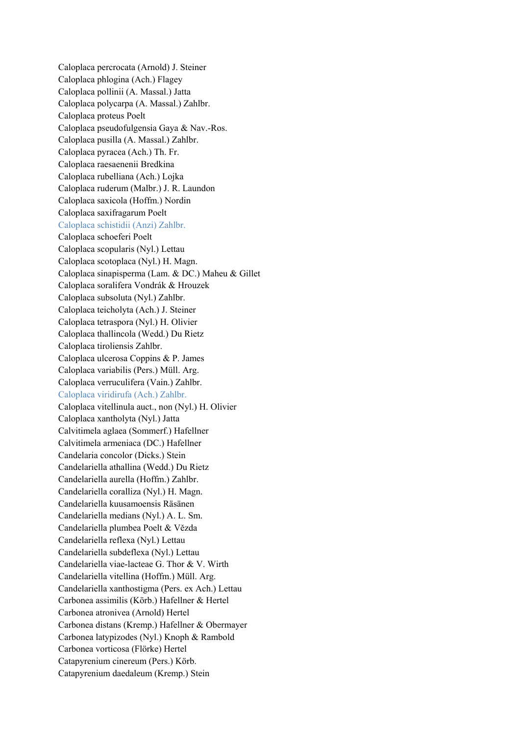Caloplaca percrocata (Arnold) J. Steiner Caloplaca phlogina (Ach.) Flagey Caloplaca pollinii (A. Massal.) Jatta Caloplaca polycarpa (A. Massal.) Zahlbr. Caloplaca proteus Poelt Caloplaca pseudofulgensia Gaya & Nav.-Ros. Caloplaca pusilla (A. Massal.) Zahlbr. Caloplaca pyracea (Ach.) Th. Fr. Caloplaca raesaenenii Bredkina Caloplaca rubelliana (Ach.) Lojka Caloplaca ruderum (Malbr.) J. R. Laundon Caloplaca saxicola (Hoffm.) Nordin Caloplaca saxifragarum Poelt Caloplaca schistidii (Anzi) Zahlbr. Caloplaca schoeferi Poelt Caloplaca scopularis (Nyl.) Lettau Caloplaca scotoplaca (Nyl.) H. Magn. Caloplaca sinapisperma (Lam. & DC.) Maheu & Gillet Caloplaca soralifera Vondrák & Hrouzek Caloplaca subsoluta (Nyl.) Zahlbr. Caloplaca teicholyta (Ach.) J. Steiner Caloplaca tetraspora (Nyl.) H. Olivier Caloplaca thallincola (Wedd.) Du Rietz Caloplaca tiroliensis Zahlbr. Caloplaca ulcerosa Coppins & P. James Caloplaca variabilis (Pers.) Müll. Arg. Caloplaca verruculifera (Vain.) Zahlbr. Caloplaca viridirufa (Ach.) Zahlbr. Caloplaca vitellinula auct., non (Nyl.) H. Olivier Caloplaca xantholyta (Nyl.) Jatta Calvitimela aglaea (Sommerf.) Hafellner Calvitimela armeniaca (DC.) Hafellner Candelaria concolor (Dicks.) Stein Candelariella athallina (Wedd.) Du Rietz Candelariella aurella (Hoffm.) Zahlbr. Candelariella coralliza (Nyl.) H. Magn. Candelariella kuusamoensis Räsänen Candelariella medians (Nyl.) A. L. Sm. Candelariella plumbea Poelt & Vězda Candelariella reflexa (Nyl.) Lettau Candelariella subdeflexa (Nyl.) Lettau Candelariella viae-lacteae G. Thor & V. Wirth Candelariella vitellina (Hoffm.) Müll. Arg. Candelariella xanthostigma (Pers. ex Ach.) Lettau Carbonea assimilis (Körb.) Hafellner & Hertel Carbonea atronivea (Arnold) Hertel Carbonea distans (Kremp.) Hafellner & Obermayer Carbonea latypizodes (Nyl.) Knoph & Rambold Carbonea vorticosa (Flörke) Hertel Catapyrenium cinereum (Pers.) Körb. Catapyrenium daedaleum (Kremp.) Stein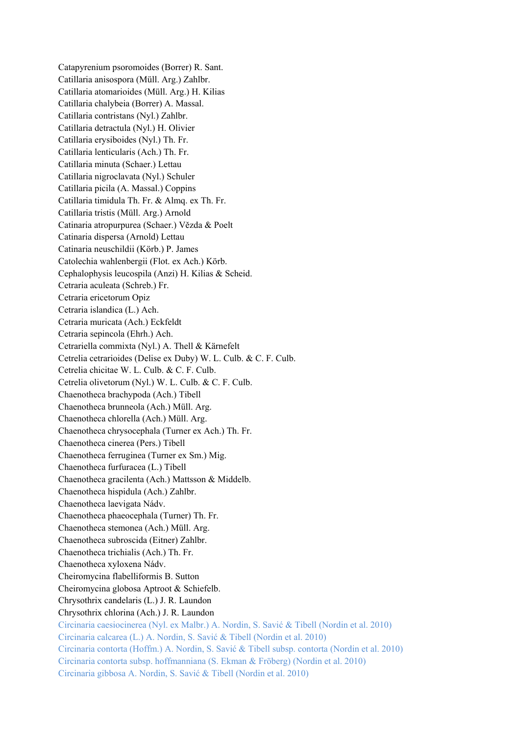Catapyrenium psoromoides (Borrer) R. Sant. Catillaria anisospora (Müll. Arg.) Zahlbr. Catillaria atomarioides (Müll. Arg.) H. Kilias Catillaria chalybeia (Borrer) A. Massal. Catillaria contristans (Nyl.) Zahlbr. Catillaria detractula (Nyl.) H. Olivier Catillaria erysiboides (Nyl.) Th. Fr. Catillaria lenticularis (Ach.) Th. Fr. Catillaria minuta (Schaer.) Lettau Catillaria nigroclavata (Nyl.) Schuler Catillaria picila (A. Massal.) Coppins Catillaria timidula Th. Fr. & Almq. ex Th. Fr. Catillaria tristis (Müll. Arg.) Arnold Catinaria atropurpurea (Schaer.) Vězda & Poelt Catinaria dispersa (Arnold) Lettau Catinaria neuschildii (Körb.) P. James Catolechia wahlenbergii (Flot. ex Ach.) Körb. Cephalophysis leucospila (Anzi) H. Kilias & Scheid. Cetraria aculeata (Schreb.) Fr. Cetraria ericetorum Opiz Cetraria islandica (L.) Ach. Cetraria muricata (Ach.) Eckfeldt Cetraria sepincola (Ehrh.) Ach. Cetrariella commixta (Nyl.) A. Thell & Kärnefelt Cetrelia cetrarioides (Delise ex Duby) W. L. Culb. & C. F. Culb. Cetrelia chicitae W. L. Culb. & C. F. Culb. Cetrelia olivetorum (Nyl.) W. L. Culb. & C. F. Culb. Chaenotheca brachypoda (Ach.) Tibell Chaenotheca brunneola (Ach.) Müll. Arg. Chaenotheca chlorella (Ach.) Müll. Arg. Chaenotheca chrysocephala (Turner ex Ach.) Th. Fr. Chaenotheca cinerea (Pers.) Tibell Chaenotheca ferruginea (Turner ex Sm.) Mig. Chaenotheca furfuracea (L.) Tibell Chaenotheca gracilenta (Ach.) Mattsson & Middelb. Chaenotheca hispidula (Ach.) Zahlbr. Chaenotheca laevigata Nádv. Chaenotheca phaeocephala (Turner) Th. Fr. Chaenotheca stemonea (Ach.) Müll. Arg. Chaenotheca subroscida (Eitner) Zahlbr. Chaenotheca trichialis (Ach.) Th. Fr. Chaenotheca xyloxena Nádv. Cheiromycina flabelliformis B. Sutton Cheiromycina globosa Aptroot & Schiefelb. Chrysothrix candelaris (L.) J. R. Laundon Chrysothrix chlorina (Ach.) J. R. Laundon Circinaria caesiocinerea (Nyl. ex Malbr.) A. Nordin, S. Savić & Tibell (Nordin et al. 2010) Circinaria calcarea (L.) A. Nordin, S. Savić & Tibell (Nordin et al. 2010) Circinaria contorta (Hoffm.) A. Nordin, S. Savić & Tibell subsp. contorta (Nordin et al. 2010) Circinaria contorta subsp. hoffmanniana (S. Ekman & Fröberg) (Nordin et al. 2010) Circinaria gibbosa A. Nordin, S. Savić & Tibell (Nordin et al. 2010)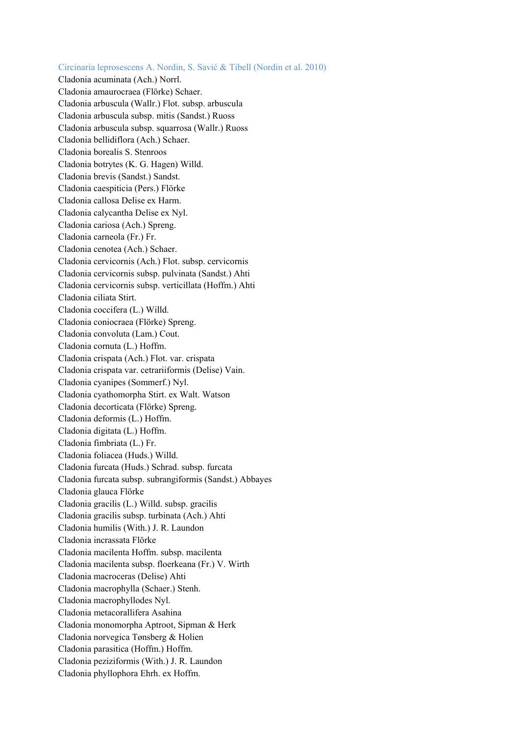Circinaria leprosescens A. Nordin, S. Savić & Tibell (Nordin et al. 2010) Cladonia acuminata (Ach.) Norrl. Cladonia amaurocraea (Flörke) Schaer. Cladonia arbuscula (Wallr.) Flot. subsp. arbuscula Cladonia arbuscula subsp. mitis (Sandst.) Ruoss Cladonia arbuscula subsp. squarrosa (Wallr.) Ruoss Cladonia bellidiflora (Ach.) Schaer. Cladonia borealis S. Stenroos Cladonia botrytes (K. G. Hagen) Willd. Cladonia brevis (Sandst.) Sandst. Cladonia caespiticia (Pers.) Flörke Cladonia callosa Delise ex Harm. Cladonia calycantha Delise ex Nyl. Cladonia cariosa (Ach.) Spreng. Cladonia carneola (Fr.) Fr. Cladonia cenotea (Ach.) Schaer. Cladonia cervicornis (Ach.) Flot. subsp. cervicornis Cladonia cervicornis subsp. pulvinata (Sandst.) Ahti Cladonia cervicornis subsp. verticillata (Hoffm.) Ahti Cladonia ciliata Stirt. Cladonia coccifera (L.) Willd. Cladonia coniocraea (Flörke) Spreng. Cladonia convoluta (Lam.) Cout. Cladonia cornuta (L.) Hoffm. Cladonia crispata (Ach.) Flot. var. crispata Cladonia crispata var. cetrariiformis (Delise) Vain. Cladonia cyanipes (Sommerf.) Nyl. Cladonia cyathomorpha Stirt. ex Walt. Watson Cladonia decorticata (Flörke) Spreng. Cladonia deformis (L.) Hoffm. Cladonia digitata (L.) Hoffm. Cladonia fimbriata (L.) Fr. Cladonia foliacea (Huds.) Willd. Cladonia furcata (Huds.) Schrad. subsp. furcata Cladonia furcata subsp. subrangiformis (Sandst.) Abbayes Cladonia glauca Flörke Cladonia gracilis (L.) Willd. subsp. gracilis Cladonia gracilis subsp. turbinata (Ach.) Ahti Cladonia humilis (With.) J. R. Laundon Cladonia incrassata Flörke Cladonia macilenta Hoffm. subsp. macilenta Cladonia macilenta subsp. floerkeana (Fr.) V. Wirth Cladonia macroceras (Delise) Ahti Cladonia macrophylla (Schaer.) Stenh. Cladonia macrophyllodes Nyl. Cladonia metacorallifera Asahina Cladonia monomorpha Aptroot, Sipman & Herk Cladonia norvegica Tønsberg & Holien Cladonia parasitica (Hoffm.) Hoffm. Cladonia peziziformis (With.) J. R. Laundon Cladonia phyllophora Ehrh. ex Hoffm.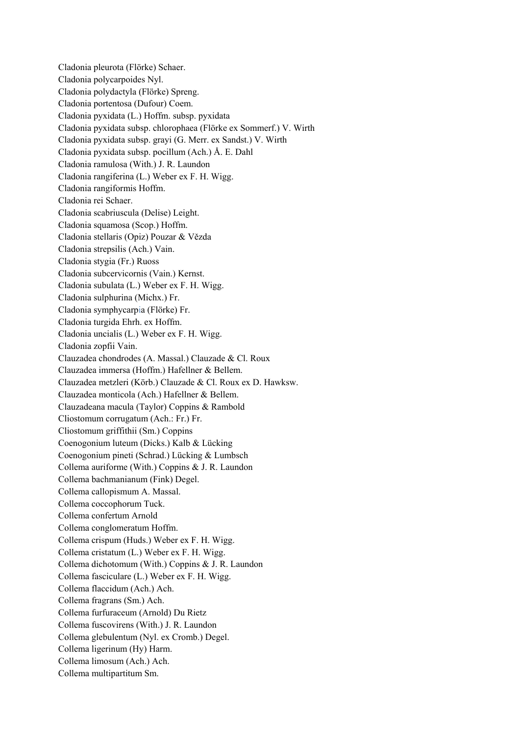Cladonia pleurota (Flörke) Schaer. Cladonia polycarpoides Nyl. Cladonia polydactyla (Flörke) Spreng. Cladonia portentosa (Dufour) Coem. Cladonia pyxidata (L.) Hoffm. subsp. pyxidata Cladonia pyxidata subsp. chlorophaea (Flörke ex Sommerf.) V. Wirth Cladonia pyxidata subsp. grayi (G. Merr. ex Sandst.) V. Wirth Cladonia pyxidata subsp. pocillum (Ach.) Å. E. Dahl Cladonia ramulosa (With.) J. R. Laundon Cladonia rangiferina (L.) Weber ex F. H. Wigg. Cladonia rangiformis Hoffm. Cladonia rei Schaer. Cladonia scabriuscula (Delise) Leight. Cladonia squamosa (Scop.) Hoffm. Cladonia stellaris (Opiz) Pouzar & Vězda Cladonia strepsilis (Ach.) Vain. Cladonia stygia (Fr.) Ruoss Cladonia subcervicornis (Vain.) Kernst. Cladonia subulata (L.) Weber ex F. H. Wigg. Cladonia sulphurina (Michx.) Fr. Cladonia symphycarpia (Flörke) Fr. Cladonia turgida Ehrh. ex Hoffm. Cladonia uncialis (L.) Weber ex F. H. Wigg. Cladonia zopfii Vain. Clauzadea chondrodes (A. Massal.) Clauzade & Cl. Roux Clauzadea immersa (Hoffm.) Hafellner & Bellem. Clauzadea metzleri (Körb.) Clauzade & Cl. Roux ex D. Hawksw. Clauzadea monticola (Ach.) Hafellner & Bellem. Clauzadeana macula (Taylor) Coppins & Rambold Cliostomum corrugatum (Ach.: Fr.) Fr. Cliostomum griffithii (Sm.) Coppins Coenogonium luteum (Dicks.) Kalb & Lücking Coenogonium pineti (Schrad.) Lücking & Lumbsch Collema auriforme (With.) Coppins & J. R. Laundon Collema bachmanianum (Fink) Degel. Collema callopismum A. Massal. Collema coccophorum Tuck. Collema confertum Arnold Collema conglomeratum Hoffm. Collema crispum (Huds.) Weber ex F. H. Wigg. Collema cristatum (L.) Weber ex F. H. Wigg. Collema dichotomum (With.) Coppins & J. R. Laundon Collema fasciculare (L.) Weber ex F. H. Wigg. Collema flaccidum (Ach.) Ach. Collema fragrans (Sm.) Ach. Collema furfuraceum (Arnold) Du Rietz Collema fuscovirens (With.) J. R. Laundon Collema glebulentum (Nyl. ex Cromb.) Degel. Collema ligerinum (Hy) Harm. Collema limosum (Ach.) Ach. Collema multipartitum Sm.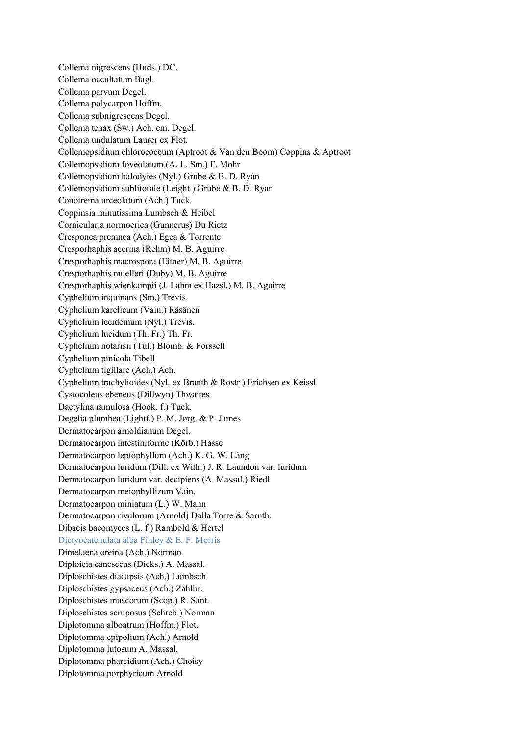Collema nigrescens (Huds.) DC. Collema occultatum Bagl. Collema parvum Degel. Collema polycarpon Hoffm. Collema subnigrescens Degel. Collema tenax (Sw.) Ach. em. Degel. Collema undulatum Laurer ex Flot. Collemopsidium chlorococcum (Aptroot & Van den Boom) Coppins & Aptroot Collemopsidium foveolatum (A. L. Sm.) F. Mohr Collemopsidium halodytes (Nyl.) Grube & B. D. Ryan Collemopsidium sublitorale (Leight.) Grube & B. D. Ryan Conotrema urceolatum (Ach.) Tuck. Coppinsia minutissima Lumbsch & Heibel Cornicularia normoerica (Gunnerus) Du Rietz Cresponea premnea (Ach.) Egea & Torrente Cresporhaphis acerina (Rehm) M. B. Aguirre Cresporhaphis macrospora (Eitner) M. B. Aguirre Cresporhaphis muelleri (Duby) M. B. Aguirre Cresporhaphis wienkampii (J. Lahm ex Hazsl.) M. B. Aguirre Cyphelium inquinans (Sm.) Trevis. Cyphelium karelicum (Vain.) Räsänen Cyphelium lecideinum (Nyl.) Trevis. Cyphelium lucidum (Th. Fr.) Th. Fr. Cyphelium notarisii (Tul.) Blomb. & Forssell Cyphelium pinicola Tibell Cyphelium tigillare (Ach.) Ach. Cyphelium trachylioides (Nyl. ex Branth & Rostr.) Erichsen ex Keissl. Cystocoleus ebeneus (Dillwyn) Thwaites Dactylina ramulosa (Hook. f.) Tuck. Degelia plumbea (Lightf.) P. M. Jørg. & P. James Dermatocarpon arnoldianum Degel. Dermatocarpon intestiniforme (Körb.) Hasse Dermatocarpon leptophyllum (Ach.) K. G. W. Lång Dermatocarpon luridum (Dill. ex With.) J. R. Laundon var. luridum Dermatocarpon luridum var. decipiens (A. Massal.) Riedl Dermatocarpon meiophyllizum Vain. Dermatocarpon miniatum (L.) W. Mann Dermatocarpon rivulorum (Arnold) Dalla Torre & Sarnth. Dibaeis baeomyces (L. f.) Rambold & Hertel Dictyocatenulata alba Finley & E. F. Morris Dimelaena oreina (Ach.) Norman Diploicia canescens (Dicks.) A. Massal. Diploschistes diacapsis (Ach.) Lumbsch Diploschistes gypsaceus (Ach.) Zahlbr. Diploschistes muscorum (Scop.) R. Sant. Diploschistes scruposus (Schreb.) Norman Diplotomma alboatrum (Hoffm.) Flot. Diplotomma epipolium (Ach.) Arnold Diplotomma lutosum A. Massal. Diplotomma pharcidium (Ach.) Choisy Diplotomma porphyricum Arnold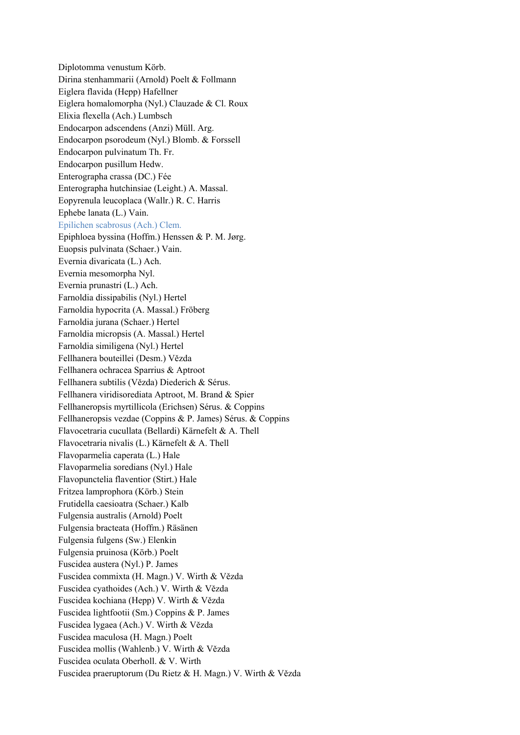Diplotomma venustum Körb. Dirina stenhammarii (Arnold) Poelt & Follmann Eiglera flavida (Hepp) Hafellner Eiglera homalomorpha (Nyl.) Clauzade & Cl. Roux Elixia flexella (Ach.) Lumbsch Endocarpon adscendens (Anzi) Müll. Arg. Endocarpon psorodeum (Nyl.) Blomb. & Forssell Endocarpon pulvinatum Th. Fr. Endocarpon pusillum Hedw. Enterographa crassa (DC.) Fée Enterographa hutchinsiae (Leight.) A. Massal. Eopyrenula leucoplaca (Wallr.) R. C. Harris Ephebe lanata (L.) Vain. Epilichen scabrosus (Ach.) Clem. Epiphloea byssina (Hoffm.) Henssen & P. M. Jørg. Euopsis pulvinata (Schaer.) Vain. Evernia divaricata (L.) Ach. Evernia mesomorpha Nyl. Evernia prunastri (L.) Ach. Farnoldia dissipabilis (Nyl.) Hertel Farnoldia hypocrita (A. Massal.) Fröberg Farnoldia jurana (Schaer.) Hertel Farnoldia micropsis (A. Massal.) Hertel Farnoldia similigena (Nyl.) Hertel Fellhanera bouteillei (Desm.) Vězda Fellhanera ochracea Sparrius & Aptroot Fellhanera subtilis (Vězda) Diederich & Sérus. Fellhanera viridisorediata Aptroot, M. Brand & Spier Fellhaneropsis myrtillicola (Erichsen) Sérus. & Coppins Fellhaneropsis vezdae (Coppins & P. James) Sérus. & Coppins Flavocetraria cucullata (Bellardi) Kärnefelt & A. Thell Flavocetraria nivalis (L.) Kärnefelt & A. Thell Flavoparmelia caperata (L.) Hale Flavoparmelia soredians (Nyl.) Hale Flavopunctelia flaventior (Stirt.) Hale Fritzea lamprophora (Körb.) Stein Frutidella caesioatra (Schaer.) Kalb Fulgensia australis (Arnold) Poelt Fulgensia bracteata (Hoffm.) Räsänen Fulgensia fulgens (Sw.) Elenkin Fulgensia pruinosa (Körb.) Poelt Fuscidea austera (Nyl.) P. James Fuscidea commixta (H. Magn.) V. Wirth & Vězda Fuscidea cyathoides (Ach.) V. Wirth & Vězda Fuscidea kochiana (Hepp) V. Wirth & Vězda Fuscidea lightfootii (Sm.) Coppins & P. James Fuscidea lygaea (Ach.) V. Wirth & Vězda Fuscidea maculosa (H. Magn.) Poelt Fuscidea mollis (Wahlenb.) V. Wirth & Vězda Fuscidea oculata Oberholl. & V. Wirth Fuscidea praeruptorum (Du Rietz & H. Magn.) V. Wirth & Vězda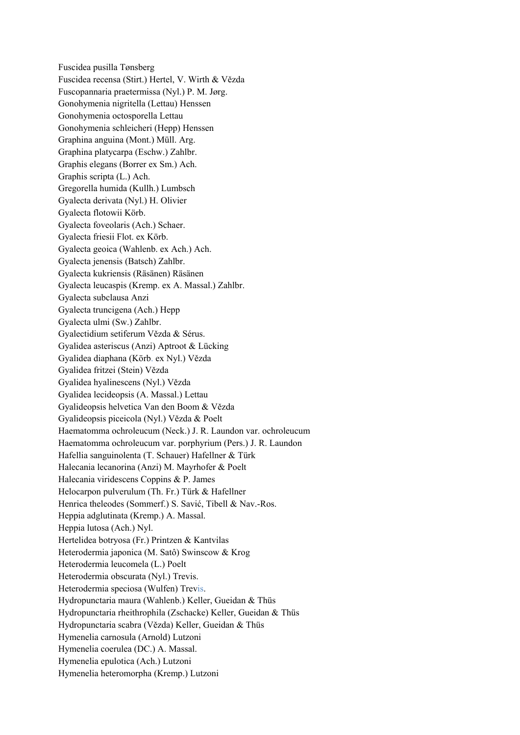Fuscidea pusilla Tønsberg Fuscidea recensa (Stirt.) Hertel, V. Wirth & Vězda Fuscopannaria praetermissa (Nyl.) P. M. Jørg. Gonohymenia nigritella (Lettau) Henssen Gonohymenia octosporella Lettau Gonohymenia schleicheri (Hepp) Henssen Graphina anguina (Mont.) Müll. Arg. Graphina platycarpa (Eschw.) Zahlbr. Graphis elegans (Borrer ex Sm.) Ach. Graphis scripta (L.) Ach. Gregorella humida (Kullh.) Lumbsch Gyalecta derivata (Nyl.) H. Olivier Gyalecta flotowii Körb. Gyalecta foveolaris (Ach.) Schaer. Gyalecta friesii Flot. ex Körb. Gyalecta geoica (Wahlenb. ex Ach.) Ach. Gyalecta jenensis (Batsch) Zahlbr. Gyalecta kukriensis (Räsänen) Räsänen Gyalecta leucaspis (Kremp. ex A. Massal.) Zahlbr. Gyalecta subclausa Anzi Gyalecta truncigena (Ach.) Hepp Gyalecta ulmi (Sw.) Zahlbr. Gyalectidium setiferum Vězda & Sérus. Gyalidea asteriscus (Anzi) Aptroot & Lücking Gyalidea diaphana (Körb. ex Nyl.) Vězda Gyalidea fritzei (Stein) Vězda Gyalidea hyalinescens (Nyl.) Vězda Gyalidea lecideopsis (A. Massal.) Lettau Gyalideopsis helvetica Van den Boom & Vězda Gyalideopsis piceicola (Nyl.) Vězda & Poelt Haematomma ochroleucum (Neck.) J. R. Laundon var. ochroleucum Haematomma ochroleucum var. porphyrium (Pers.) J. R. Laundon Hafellia sanguinolenta (T. Schauer) Hafellner & Türk Halecania lecanorina (Anzi) M. Mayrhofer & Poelt Halecania viridescens Coppins & P. James Helocarpon pulverulum (Th. Fr.) Türk & Hafellner Henrica theleodes (Sommerf.) S. Savić, Tibell & Nav.-Ros. Heppia adglutinata (Kremp.) A. Massal. Heppia lutosa (Ach.) Nyl. Hertelidea botryosa (Fr.) Printzen & Kantvilas Heterodermia japonica (M. Satô) Swinscow & Krog Heterodermia leucomela (L.) Poelt Heterodermia obscurata (Nyl.) Trevis. Heterodermia speciosa (Wulfen) Trevis. Hydropunctaria maura (Wahlenb.) Keller, Gueidan & Thüs Hydropunctaria rheithrophila (Zschacke) Keller, Gueidan & Thüs Hydropunctaria scabra (Vězda) Keller, Gueidan & Thüs Hymenelia carnosula (Arnold) Lutzoni Hymenelia coerulea (DC.) A. Massal. Hymenelia epulotica (Ach.) Lutzoni Hymenelia heteromorpha (Kremp.) Lutzoni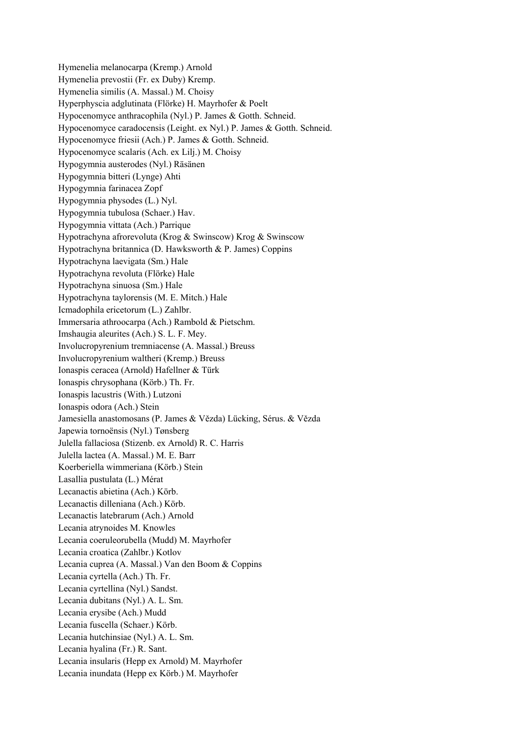Hymenelia melanocarpa (Kremp.) Arnold Hymenelia prevostii (Fr. ex Duby) Kremp. Hymenelia similis (A. Massal.) M. Choisy Hyperphyscia adglutinata (Flörke) H. Mayrhofer & Poelt Hypocenomyce anthracophila (Nyl.) P. James & Gotth. Schneid. Hypocenomyce caradocensis (Leight. ex Nyl.) P. James & Gotth. Schneid. Hypocenomyce friesii (Ach.) P. James & Gotth. Schneid. Hypocenomyce scalaris (Ach. ex Lilj.) M. Choisy Hypogymnia austerodes (Nyl.) Räsänen Hypogymnia bitteri (Lynge) Ahti Hypogymnia farinacea Zopf Hypogymnia physodes (L.) Nyl. Hypogymnia tubulosa (Schaer.) Hav. Hypogymnia vittata (Ach.) Parrique Hypotrachyna afrorevoluta (Krog & Swinscow) Krog & Swinscow Hypotrachyna britannica (D. Hawksworth & P. James) Coppins Hypotrachyna laevigata (Sm.) Hale Hypotrachyna revoluta (Flörke) Hale Hypotrachyna sinuosa (Sm.) Hale Hypotrachyna taylorensis (M. E. Mitch.) Hale Icmadophila ericetorum (L.) Zahlbr. Immersaria athroocarpa (Ach.) Rambold & Pietschm. Imshaugia aleurites (Ach.) S. L. F. Mey. Involucropyrenium tremniacense (A. Massal.) Breuss Involucropyrenium waltheri (Kremp.) Breuss Ionaspis ceracea (Arnold) Hafellner & Türk Ionaspis chrysophana (Körb.) Th. Fr. Ionaspis lacustris (With.) Lutzoni Ionaspis odora (Ach.) Stein Jamesiella anastomosans (P. James & Vězda) Lücking, Sérus. & Vězda Japewia tornoënsis (Nyl.) Tønsberg Julella fallaciosa (Stizenb. ex Arnold) R. C. Harris Julella lactea (A. Massal.) M. E. Barr Koerberiella wimmeriana (Körb.) Stein Lasallia pustulata (L.) Mérat Lecanactis abietina (Ach.) Körb. Lecanactis dilleniana (Ach.) Körb. Lecanactis latebrarum (Ach.) Arnold Lecania atrynoides M. Knowles Lecania coeruleorubella (Mudd) M. Mayrhofer Lecania croatica (Zahlbr.) Kotlov Lecania cuprea (A. Massal.) Van den Boom & Coppins Lecania cyrtella (Ach.) Th. Fr. Lecania cyrtellina (Nyl.) Sandst. Lecania dubitans (Nyl.) A. L. Sm. Lecania erysibe (Ach.) Mudd Lecania fuscella (Schaer.) Körb. Lecania hutchinsiae (Nyl.) A. L. Sm. Lecania hyalina (Fr.) R. Sant. Lecania insularis (Hepp ex Arnold) M. Mayrhofer Lecania inundata (Hepp ex Körb.) M. Mayrhofer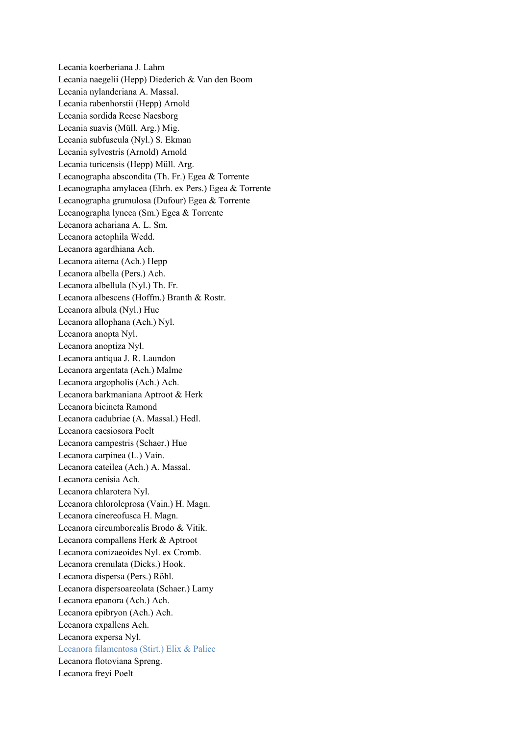Lecania koerberiana J. Lahm Lecania naegelii (Hepp) Diederich & Van den Boom Lecania nylanderiana A. Massal. Lecania rabenhorstii (Hepp) Arnold Lecania sordida Reese Naesborg Lecania suavis (Müll. Arg.) Mig. Lecania subfuscula (Nyl.) S. Ekman Lecania sylvestris (Arnold) Arnold Lecania turicensis (Hepp) Müll. Arg. Lecanographa abscondita (Th. Fr.) Egea & Torrente Lecanographa amylacea (Ehrh. ex Pers.) Egea & Torrente Lecanographa grumulosa (Dufour) Egea & Torrente Lecanographa lyncea (Sm.) Egea & Torrente Lecanora achariana A. L. Sm. Lecanora actophila Wedd. Lecanora agardhiana Ach. Lecanora aitema (Ach.) Hepp Lecanora albella (Pers.) Ach. Lecanora albellula (Nyl.) Th. Fr. Lecanora albescens (Hoffm.) Branth & Rostr. Lecanora albula (Nyl.) Hue Lecanora allophana (Ach.) Nyl. Lecanora anopta Nyl. Lecanora anoptiza Nyl. Lecanora antiqua J. R. Laundon Lecanora argentata (Ach.) Malme Lecanora argopholis (Ach.) Ach. Lecanora barkmaniana Aptroot & Herk Lecanora bicincta Ramond Lecanora cadubriae (A. Massal.) Hedl. Lecanora caesiosora Poelt Lecanora campestris (Schaer.) Hue Lecanora carpinea (L.) Vain. Lecanora cateilea (Ach.) A. Massal. Lecanora cenisia Ach. Lecanora chlarotera Nyl. Lecanora chloroleprosa (Vain.) H. Magn. Lecanora cinereofusca H. Magn. Lecanora circumborealis Brodo & Vitik. Lecanora compallens Herk & Aptroot Lecanora conizaeoides Nyl. ex Cromb. Lecanora crenulata (Dicks.) Hook. Lecanora dispersa (Pers.) Röhl. Lecanora dispersoareolata (Schaer.) Lamy Lecanora epanora (Ach.) Ach. Lecanora epibryon (Ach.) Ach. Lecanora expallens Ach. Lecanora expersa Nyl. Lecanora filamentosa (Stirt.) Elix & Palice Lecanora flotoviana Spreng. Lecanora freyi Poelt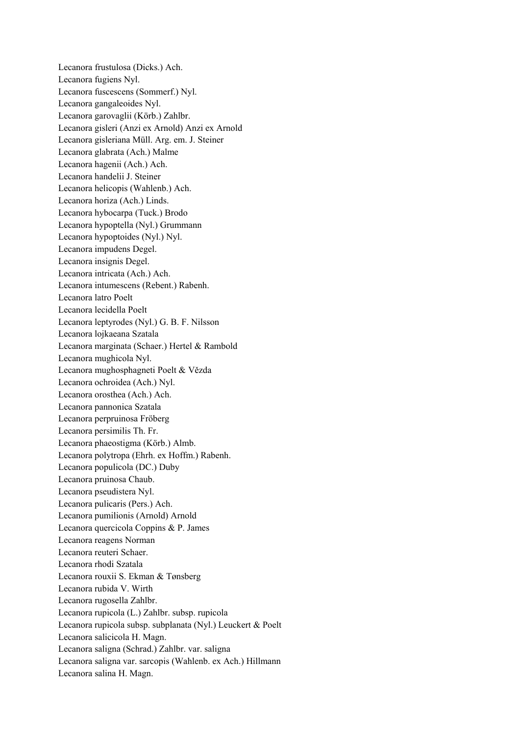Lecanora frustulosa (Dicks.) Ach. Lecanora fugiens Nyl. Lecanora fuscescens (Sommerf.) Nyl. Lecanora gangaleoides Nyl. Lecanora garovaglii (Körb.) Zahlbr. Lecanora gisleri (Anzi ex Arnold) Anzi ex Arnold Lecanora gisleriana Müll. Arg. em. J. Steiner Lecanora glabrata (Ach.) Malme Lecanora hagenii (Ach.) Ach. Lecanora handelii J. Steiner Lecanora helicopis (Wahlenb.) Ach. Lecanora horiza (Ach.) Linds. Lecanora hybocarpa (Tuck.) Brodo Lecanora hypoptella (Nyl.) Grummann Lecanora hypoptoides (Nyl.) Nyl. Lecanora impudens Degel. Lecanora insignis Degel. Lecanora intricata (Ach.) Ach. Lecanora intumescens (Rebent.) Rabenh. Lecanora latro Poelt Lecanora lecidella Poelt Lecanora leptyrodes (Nyl.) G. B. F. Nilsson Lecanora lojkaeana Szatala Lecanora marginata (Schaer.) Hertel & Rambold Lecanora mughicola Nyl. Lecanora mughosphagneti Poelt & Vězda Lecanora ochroidea (Ach.) Nyl. Lecanora orosthea (Ach.) Ach. Lecanora pannonica Szatala Lecanora perpruinosa Fröberg Lecanora persimilis Th. Fr. Lecanora phaeostigma (Körb.) Almb. Lecanora polytropa (Ehrh. ex Hoffm.) Rabenh. Lecanora populicola (DC.) Duby Lecanora pruinosa Chaub. Lecanora pseudistera Nyl. Lecanora pulicaris (Pers.) Ach. Lecanora pumilionis (Arnold) Arnold Lecanora quercicola Coppins & P. James Lecanora reagens Norman Lecanora reuteri Schaer. Lecanora rhodi Szatala Lecanora rouxii S. Ekman & Tønsberg Lecanora rubida V. Wirth Lecanora rugosella Zahlbr. Lecanora rupicola (L.) Zahlbr. subsp. rupicola Lecanora rupicola subsp. subplanata (Nyl.) Leuckert & Poelt Lecanora salicicola H. Magn. Lecanora saligna (Schrad.) Zahlbr. var. saligna Lecanora saligna var. sarcopis (Wahlenb. ex Ach.) Hillmann Lecanora salina H. Magn.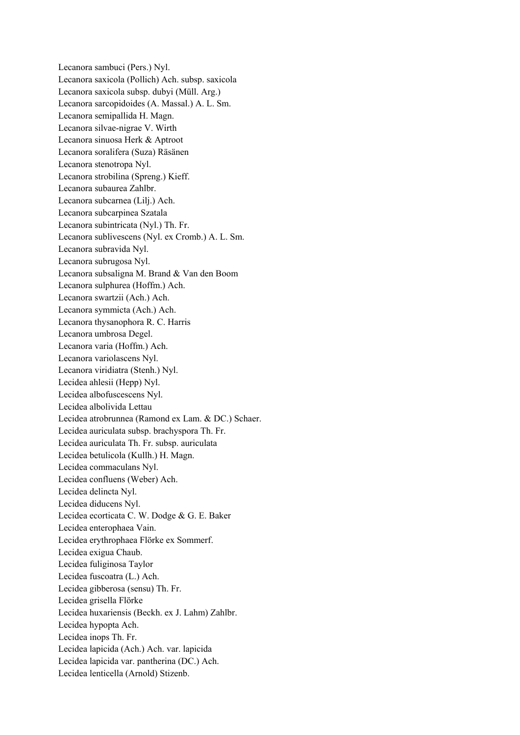Lecanora sambuci (Pers.) Nyl. Lecanora saxicola (Pollich) Ach. subsp. saxicola Lecanora saxicola subsp. dubyi (Müll. Arg.) Lecanora sarcopidoides (A. Massal.) A. L. Sm. Lecanora semipallida H. Magn. Lecanora silvae-nigrae V. Wirth Lecanora sinuosa Herk & Aptroot Lecanora soralifera (Suza) Räsänen Lecanora stenotropa Nyl. Lecanora strobilina (Spreng.) Kieff. Lecanora subaurea Zahlbr. Lecanora subcarnea (Lilj.) Ach. Lecanora subcarpinea Szatala Lecanora subintricata (Nyl.) Th. Fr. Lecanora sublivescens (Nyl. ex Cromb.) A. L. Sm. Lecanora subravida Nyl. Lecanora subrugosa Nyl. Lecanora subsaligna M. Brand & Van den Boom Lecanora sulphurea (Hoffm.) Ach. Lecanora swartzii (Ach.) Ach. Lecanora symmicta (Ach.) Ach. Lecanora thysanophora R. C. Harris Lecanora umbrosa Degel. Lecanora varia (Hoffm.) Ach. Lecanora variolascens Nyl. Lecanora viridiatra (Stenh.) Nyl. Lecidea ahlesii (Hepp) Nyl. Lecidea albofuscescens Nyl. Lecidea albolivida Lettau Lecidea atrobrunnea (Ramond ex Lam. & DC.) Schaer. Lecidea auriculata subsp. brachyspora Th. Fr. Lecidea auriculata Th. Fr. subsp. auriculata Lecidea betulicola (Kullh.) H. Magn. Lecidea commaculans Nyl. Lecidea confluens (Weber) Ach. Lecidea delincta Nyl. Lecidea diducens Nyl. Lecidea ecorticata C. W. Dodge & G. E. Baker Lecidea enterophaea Vain. Lecidea erythrophaea Flörke ex Sommerf. Lecidea exigua Chaub. Lecidea fuliginosa Taylor Lecidea fuscoatra (L.) Ach. Lecidea gibberosa (sensu) Th. Fr. Lecidea grisella Flörke Lecidea huxariensis (Beckh. ex J. Lahm) Zahlbr. Lecidea hypopta Ach. Lecidea inops Th. Fr. Lecidea lapicida (Ach.) Ach. var. lapicida Lecidea lapicida var. pantherina (DC.) Ach. Lecidea lenticella (Arnold) Stizenb.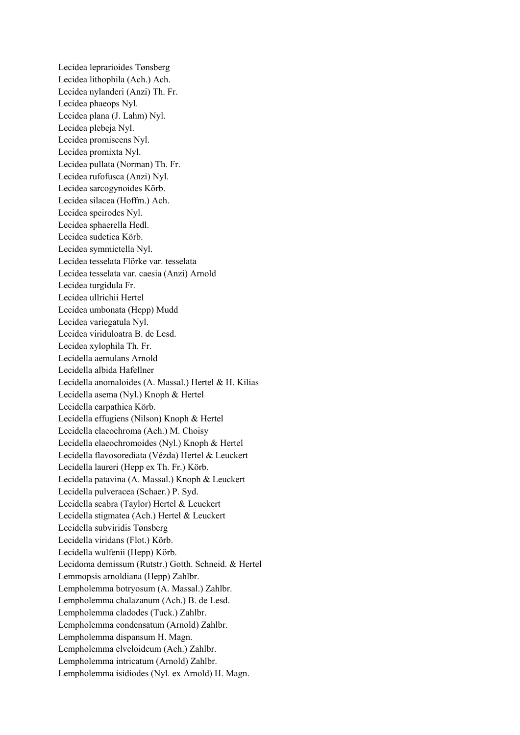Lecidea leprarioides Tønsberg Lecidea lithophila (Ach.) Ach. Lecidea nylanderi (Anzi) Th. Fr. Lecidea phaeops Nyl. Lecidea plana (J. Lahm) Nyl. Lecidea plebeja Nyl. Lecidea promiscens Nyl. Lecidea promixta Nyl. Lecidea pullata (Norman) Th. Fr. Lecidea rufofusca (Anzi) Nyl. Lecidea sarcogynoides Körb. Lecidea silacea (Hoffm.) Ach. Lecidea speirodes Nyl. Lecidea sphaerella Hedl. Lecidea sudetica Körb. Lecidea symmictella Nyl. Lecidea tesselata Flörke var. tesselata Lecidea tesselata var. caesia (Anzi) Arnold Lecidea turgidula Fr. Lecidea ullrichii Hertel Lecidea umbonata (Hepp) Mudd Lecidea variegatula Nyl. Lecidea viriduloatra B. de Lesd. Lecidea xylophila Th. Fr. Lecidella aemulans Arnold Lecidella albida Hafellner Lecidella anomaloides (A. Massal.) Hertel & H. Kilias Lecidella asema (Nyl.) Knoph & Hertel Lecidella carpathica Körb. Lecidella effugiens (Nilson) Knoph & Hertel Lecidella elaeochroma (Ach.) M. Choisy Lecidella elaeochromoides (Nyl.) Knoph & Hertel Lecidella flavosorediata (Vězda) Hertel & Leuckert Lecidella laureri (Hepp ex Th. Fr.) Körb. Lecidella patavina (A. Massal.) Knoph & Leuckert Lecidella pulveracea (Schaer.) P. Syd. Lecidella scabra (Taylor) Hertel & Leuckert Lecidella stigmatea (Ach.) Hertel & Leuckert Lecidella subviridis Tønsberg Lecidella viridans (Flot.) Körb. Lecidella wulfenii (Hepp) Körb. Lecidoma demissum (Rutstr.) Gotth. Schneid. & Hertel Lemmopsis arnoldiana (Hepp) Zahlbr. Lempholemma botryosum (A. Massal.) Zahlbr. Lempholemma chalazanum (Ach.) B. de Lesd. Lempholemma cladodes (Tuck.) Zahlbr. Lempholemma condensatum (Arnold) Zahlbr. Lempholemma dispansum H. Magn. Lempholemma elveloideum (Ach.) Zahlbr. Lempholemma intricatum (Arnold) Zahlbr. Lempholemma isidiodes (Nyl. ex Arnold) H. Magn.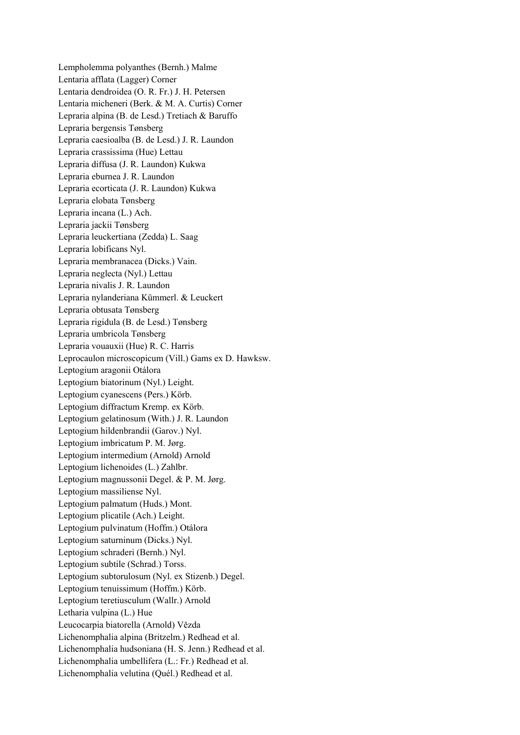Lempholemma polyanthes (Bernh.) Malme Lentaria afflata (Lagger) Corner Lentaria dendroidea (O. R. Fr.) J. H. Petersen Lentaria micheneri (Berk. & M. A. Curtis) Corner Lepraria alpina (B. de Lesd.) Tretiach & Baruffo Lepraria bergensis Tønsberg Lepraria caesioalba (B. de Lesd.) J. R. Laundon Lepraria crassissima (Hue) Lettau Lepraria diffusa (J. R. Laundon) Kukwa Lepraria eburnea J. R. Laundon Lepraria ecorticata (J. R. Laundon) Kukwa Lepraria elobata Tønsberg Lepraria incana (L.) Ach. Lepraria jackii Tønsberg Lepraria leuckertiana (Zedda) L. Saag Lepraria lobificans Nyl. Lepraria membranacea (Dicks.) Vain. Lepraria neglecta (Nyl.) Lettau Lepraria nivalis J. R. Laundon Lepraria nylanderiana Kümmerl. & Leuckert Lepraria obtusata Tønsberg Lepraria rigidula (B. de Lesd.) Tønsberg Lepraria umbricola Tønsberg Lepraria vouauxii (Hue) R. C. Harris Leprocaulon microscopicum (Vill.) Gams ex D. Hawksw. Leptogium aragonii Otálora Leptogium biatorinum (Nyl.) Leight. Leptogium cyanescens (Pers.) Körb. Leptogium diffractum Kremp. ex Körb. Leptogium gelatinosum (With.) J. R. Laundon Leptogium hildenbrandii (Garov.) Nyl. Leptogium imbricatum P. M. Jørg. Leptogium intermedium (Arnold) Arnold Leptogium lichenoides (L.) Zahlbr. Leptogium magnussonii Degel. & P. M. Jørg. Leptogium massiliense Nyl. Leptogium palmatum (Huds.) Mont. Leptogium plicatile (Ach.) Leight. Leptogium pulvinatum (Hoffm.) Otálora Leptogium saturninum (Dicks.) Nyl. Leptogium schraderi (Bernh.) Nyl. Leptogium subtile (Schrad.) Torss. Leptogium subtorulosum (Nyl. ex Stizenb.) Degel. Leptogium tenuissimum (Hoffm.) Körb. Leptogium teretiusculum (Wallr.) Arnold Letharia vulpina (L.) Hue Leucocarpia biatorella (Arnold) Vězda Lichenomphalia alpina (Britzelm.) Redhead et al. Lichenomphalia hudsoniana (H. S. Jenn.) Redhead et al. Lichenomphalia umbellifera (L.: Fr.) Redhead et al. Lichenomphalia velutina (Quél.) Redhead et al.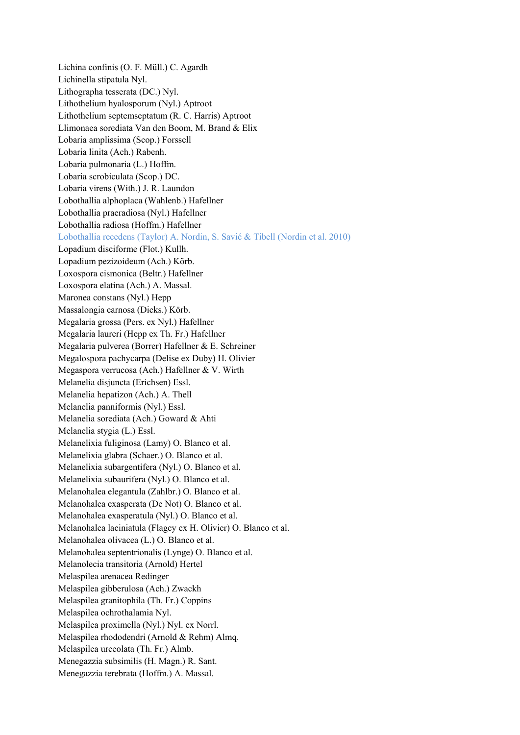Lichina confinis (O. F. Müll.) C. Agardh Lichinella stipatula Nyl. Lithographa tesserata (DC.) Nyl. Lithothelium hyalosporum (Nyl.) Aptroot Lithothelium septemseptatum (R. C. Harris) Aptroot Llimonaea sorediata Van den Boom, M. Brand & Elix Lobaria amplissima (Scop.) Forssell Lobaria linita (Ach.) Rabenh. Lobaria pulmonaria (L.) Hoffm. Lobaria scrobiculata (Scop.) DC. Lobaria virens (With.) J. R. Laundon Lobothallia alphoplaca (Wahlenb.) Hafellner Lobothallia praeradiosa (Nyl.) Hafellner Lobothallia radiosa (Hoffm.) Hafellner Lobothallia recedens (Taylor) A. Nordin, S. Savić & Tibell (Nordin et al. 2010) Lopadium disciforme (Flot.) Kullh. Lopadium pezizoideum (Ach.) Körb. Loxospora cismonica (Beltr.) Hafellner Loxospora elatina (Ach.) A. Massal. Maronea constans (Nyl.) Hepp Massalongia carnosa (Dicks.) Körb. Megalaria grossa (Pers. ex Nyl.) Hafellner Megalaria laureri (Hepp ex Th. Fr.) Hafellner Megalaria pulverea (Borrer) Hafellner & E. Schreiner Megalospora pachycarpa (Delise ex Duby) H. Olivier Megaspora verrucosa (Ach.) Hafellner & V. Wirth Melanelia disjuncta (Erichsen) Essl. Melanelia hepatizon (Ach.) A. Thell Melanelia panniformis (Nyl.) Essl. Melanelia sorediata (Ach.) Goward & Ahti Melanelia stygia (L.) Essl. Melanelixia fuliginosa (Lamy) O. Blanco et al. Melanelixia glabra (Schaer.) O. Blanco et al. Melanelixia subargentifera (Nyl.) O. Blanco et al. Melanelixia subaurifera (Nyl.) O. Blanco et al. Melanohalea elegantula (Zahlbr.) O. Blanco et al. Melanohalea exasperata (De Not) O. Blanco et al. Melanohalea exasperatula (Nyl.) O. Blanco et al. Melanohalea laciniatula (Flagey ex H. Olivier) O. Blanco et al. Melanohalea olivacea (L.) O. Blanco et al. Melanohalea septentrionalis (Lynge) O. Blanco et al. Melanolecia transitoria (Arnold) Hertel Melaspilea arenacea Redinger Melaspilea gibberulosa (Ach.) Zwackh Melaspilea granitophila (Th. Fr.) Coppins Melaspilea ochrothalamia Nyl. Melaspilea proximella (Nyl.) Nyl. ex Norrl. Melaspilea rhododendri (Arnold & Rehm) Almq. Melaspilea urceolata (Th. Fr.) Almb. Menegazzia subsimilis (H. Magn.) R. Sant. Menegazzia terebrata (Hoffm.) A. Massal.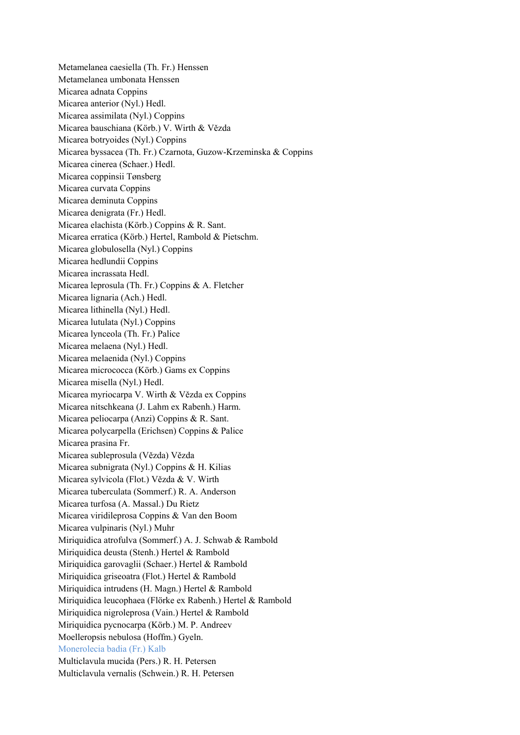Metamelanea caesiella (Th. Fr.) Henssen Metamelanea umbonata Henssen Micarea adnata Coppins Micarea anterior (Nyl.) Hedl. Micarea assimilata (Nyl.) Coppins Micarea bauschiana (Körb.) V. Wirth & Vězda Micarea botryoides (Nyl.) Coppins Micarea byssacea (Th. Fr.) Czarnota, Guzow-Krzeminska & Coppins Micarea cinerea (Schaer.) Hedl. Micarea coppinsii Tønsberg Micarea curvata Coppins Micarea deminuta Coppins Micarea denigrata (Fr.) Hedl. Micarea elachista (Körb.) Coppins & R. Sant. Micarea erratica (Körb.) Hertel, Rambold & Pietschm. Micarea globulosella (Nyl.) Coppins Micarea hedlundii Coppins Micarea incrassata Hedl. Micarea leprosula (Th. Fr.) Coppins & A. Fletcher Micarea lignaria (Ach.) Hedl. Micarea lithinella (Nyl.) Hedl. Micarea lutulata (Nyl.) Coppins Micarea lynceola (Th. Fr.) Palice Micarea melaena (Nyl.) Hedl. Micarea melaenida (Nyl.) Coppins Micarea micrococca (Körb.) Gams ex Coppins Micarea misella (Nyl.) Hedl. Micarea myriocarpa V. Wirth & Vězda ex Coppins Micarea nitschkeana (J. Lahm ex Rabenh.) Harm. Micarea peliocarpa (Anzi) Coppins & R. Sant. Micarea polycarpella (Erichsen) Coppins & Palice Micarea prasina Fr. Micarea subleprosula (Vězda) Vězda Micarea subnigrata (Nyl.) Coppins & H. Kilias Micarea sylvicola (Flot.) Vězda & V. Wirth Micarea tuberculata (Sommerf.) R. A. Anderson Micarea turfosa (A. Massal.) Du Rietz Micarea viridileprosa Coppins & Van den Boom Micarea vulpinaris (Nyl.) Muhr Miriquidica atrofulva (Sommerf.) A. J. Schwab & Rambold Miriquidica deusta (Stenh.) Hertel & Rambold Miriquidica garovaglii (Schaer.) Hertel & Rambold Miriquidica griseoatra (Flot.) Hertel & Rambold Miriquidica intrudens (H. Magn.) Hertel & Rambold Miriquidica leucophaea (Flörke ex Rabenh.) Hertel & Rambold Miriquidica nigroleprosa (Vain.) Hertel & Rambold Miriquidica pycnocarpa (Körb.) M. P. Andreev Moelleropsis nebulosa (Hoffm.) Gyeln. Monerolecia badia (Fr.) Kalb Multiclavula mucida (Pers.) R. H. Petersen Multiclavula vernalis (Schwein.) R. H. Petersen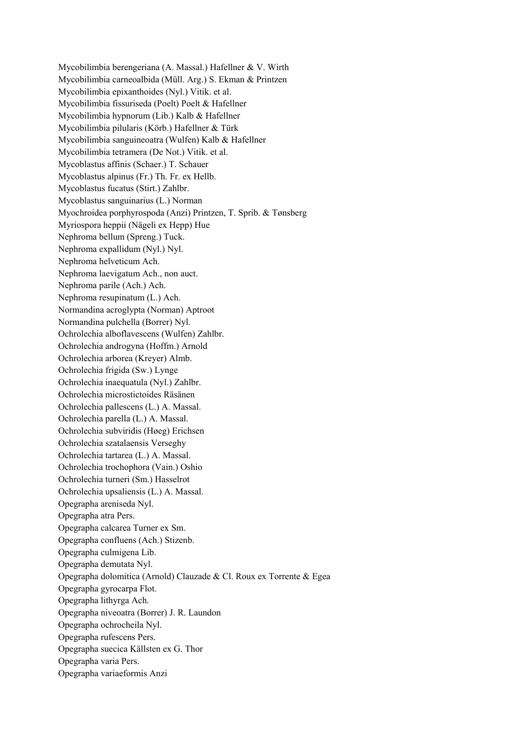Mycobilimbia berengeriana (A. Massal.) Hafellner & V. Wirth Mycobilimbia carneoalbida (Müll. Arg.) S. Ekman & Printzen Mycobilimbia epixanthoides (Nyl.) Vitik. et al. Mycobilimbia fissuriseda (Poelt) Poelt & Hafellner Mycobilimbia hypnorum (Lib.) Kalb & Hafellner Mycobilimbia pilularis (Körb.) Hafellner & Türk Mycobilimbia sanguineoatra (Wulfen) Kalb & Hafellner Mycobilimbia tetramera (De Not.) Vitik. et al. Mycoblastus affinis (Schaer.) T. Schauer Mycoblastus alpinus (Fr.) Th. Fr. ex Hellb. Mycoblastus fucatus (Stirt.) Zahlbr. Mycoblastus sanguinarius (L.) Norman Myochroidea porphyrospoda (Anzi) Printzen, T. Sprib. & Tønsberg Myriospora heppii (Nägeli ex Hepp) Hue Nephroma bellum (Spreng.) Tuck. Nephroma expallidum (Nyl.) Nyl. Nephroma helveticum Ach. Nephroma laevigatum Ach., non auct. Nephroma parile (Ach.) Ach. Nephroma resupinatum (L.) Ach. Normandina acroglypta (Norman) Aptroot Normandina pulchella (Borrer) Nyl. Ochrolechia alboflavescens (Wulfen) Zahlbr. Ochrolechia androgyna (Hoffm.) Arnold Ochrolechia arborea (Kreyer) Almb. Ochrolechia frigida (Sw.) Lynge Ochrolechia inaequatula (Nyl.) Zahlbr. Ochrolechia microstictoides Räsänen Ochrolechia pallescens (L.) A. Massal. Ochrolechia parella (L.) A. Massal. Ochrolechia subviridis (Høeg) Erichsen Ochrolechia szatalaensis Verseghy Ochrolechia tartarea (L.) A. Massal. Ochrolechia trochophora (Vain.) Oshio Ochrolechia turneri (Sm.) Hasselrot Ochrolechia upsaliensis (L.) A. Massal. Opegrapha areniseda Nyl. Opegrapha atra Pers. Opegrapha calcarea Turner ex Sm. Opegrapha confluens (Ach.) Stizenb. Opegrapha culmigena Lib. Opegrapha demutata Nyl. Opegrapha dolomitica (Arnold) Clauzade & Cl. Roux ex Torrente & Egea Opegrapha gyrocarpa Flot. Opegrapha lithyrga Ach. Opegrapha niveoatra (Borrer) J. R. Laundon Opegrapha ochrocheila Nyl. Opegrapha rufescens Pers. Opegrapha suecica Källsten ex G. Thor Opegrapha varia Pers. Opegrapha variaeformis Anzi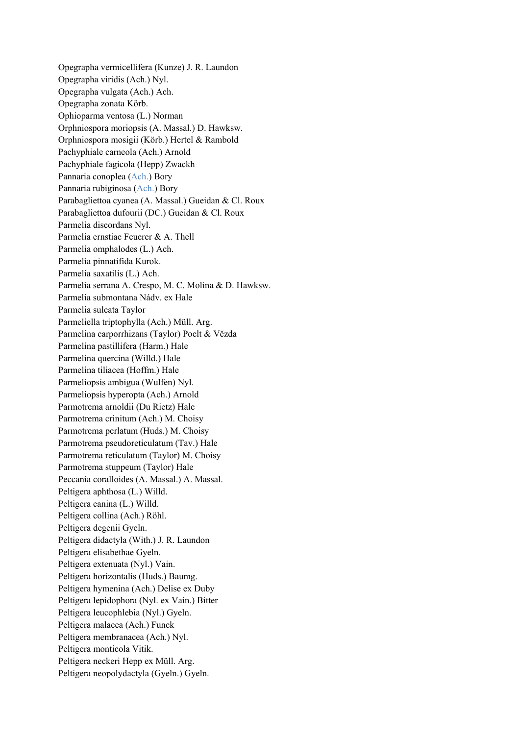Opegrapha vermicellifera (Kunze) J. R. Laundon Opegrapha viridis (Ach.) Nyl. Opegrapha vulgata (Ach.) Ach. Opegrapha zonata Körb. Ophioparma ventosa (L.) Norman Orphniospora moriopsis (A. Massal.) D. Hawksw. Orphniospora mosigii (Körb.) Hertel & Rambold Pachyphiale carneola (Ach.) Arnold Pachyphiale fagicola (Hepp) Zwackh Pannaria conoplea (Ach.) Bory Pannaria rubiginosa (Ach.) Bory Parabagliettoa cyanea (A. Massal.) Gueidan & Cl. Roux Parabagliettoa dufourii (DC.) Gueidan & Cl. Roux Parmelia discordans Nyl. Parmelia ernstiae Feuerer & A. Thell Parmelia omphalodes (L.) Ach. Parmelia pinnatifida Kurok. Parmelia saxatilis (L.) Ach. Parmelia serrana A. Crespo, M. C. Molina & D. Hawksw. Parmelia submontana Nádv. ex Hale Parmelia sulcata Taylor Parmeliella triptophylla (Ach.) Müll. Arg. Parmelina carporrhizans (Taylor) Poelt & Vězda Parmelina pastillifera (Harm.) Hale Parmelina quercina (Willd.) Hale Parmelina tiliacea (Hoffm.) Hale Parmeliopsis ambigua (Wulfen) Nyl. Parmeliopsis hyperopta (Ach.) Arnold Parmotrema arnoldii (Du Rietz) Hale Parmotrema crinitum (Ach.) M. Choisy Parmotrema perlatum (Huds.) M. Choisy Parmotrema pseudoreticulatum (Tav.) Hale Parmotrema reticulatum (Taylor) M. Choisy Parmotrema stuppeum (Taylor) Hale Peccania coralloides (A. Massal.) A. Massal. Peltigera aphthosa (L.) Willd. Peltigera canina (L.) Willd. Peltigera collina (Ach.) Röhl. Peltigera degenii Gyeln. Peltigera didactyla (With.) J. R. Laundon Peltigera elisabethae Gyeln. Peltigera extenuata (Nyl.) Vain. Peltigera horizontalis (Huds.) Baumg. Peltigera hymenina (Ach.) Delise ex Duby Peltigera lepidophora (Nyl. ex Vain.) Bitter Peltigera leucophlebia (Nyl.) Gyeln. Peltigera malacea (Ach.) Funck Peltigera membranacea (Ach.) Nyl. Peltigera monticola Vitik. Peltigera neckeri Hepp ex Müll. Arg. Peltigera neopolydactyla (Gyeln.) Gyeln.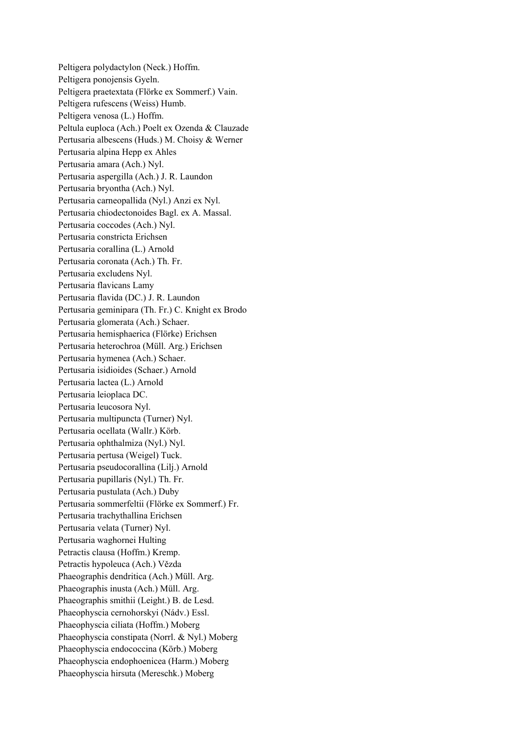Peltigera polydactylon (Neck.) Hoffm. Peltigera ponojensis Gyeln. Peltigera praetextata (Flörke ex Sommerf.) Vain. Peltigera rufescens (Weiss) Humb. Peltigera venosa (L.) Hoffm. Peltula euploca (Ach.) Poelt ex Ozenda & Clauzade Pertusaria albescens (Huds.) M. Choisy & Werner Pertusaria alpina Hepp ex Ahles Pertusaria amara (Ach.) Nyl. Pertusaria aspergilla (Ach.) J. R. Laundon Pertusaria bryontha (Ach.) Nyl. Pertusaria carneopallida (Nyl.) Anzi ex Nyl. Pertusaria chiodectonoides Bagl. ex A. Massal. Pertusaria coccodes (Ach.) Nyl. Pertusaria constricta Erichsen Pertusaria corallina (L.) Arnold Pertusaria coronata (Ach.) Th. Fr. Pertusaria excludens Nyl. Pertusaria flavicans Lamy Pertusaria flavida (DC.) J. R. Laundon Pertusaria geminipara (Th. Fr.) C. Knight ex Brodo Pertusaria glomerata (Ach.) Schaer. Pertusaria hemisphaerica (Flörke) Erichsen Pertusaria heterochroa (Müll. Arg.) Erichsen Pertusaria hymenea (Ach.) Schaer. Pertusaria isidioides (Schaer.) Arnold Pertusaria lactea (L.) Arnold Pertusaria leioplaca DC. Pertusaria leucosora Nyl. Pertusaria multipuncta (Turner) Nyl. Pertusaria ocellata (Wallr.) Körb. Pertusaria ophthalmiza (Nyl.) Nyl. Pertusaria pertusa (Weigel) Tuck. Pertusaria pseudocorallina (Lilj.) Arnold Pertusaria pupillaris (Nyl.) Th. Fr. Pertusaria pustulata (Ach.) Duby Pertusaria sommerfeltii (Flörke ex Sommerf.) Fr. Pertusaria trachythallina Erichsen Pertusaria velata (Turner) Nyl. Pertusaria waghornei Hulting Petractis clausa (Hoffm.) Kremp. Petractis hypoleuca (Ach.) Vězda Phaeographis dendritica (Ach.) Müll. Arg. Phaeographis inusta (Ach.) Müll. Arg. Phaeographis smithii (Leight.) B. de Lesd. Phaeophyscia cernohorskyi (Nádv.) Essl. Phaeophyscia ciliata (Hoffm.) Moberg Phaeophyscia constipata (Norrl. & Nyl.) Moberg Phaeophyscia endococcina (Körb.) Moberg Phaeophyscia endophoenicea (Harm.) Moberg Phaeophyscia hirsuta (Mereschk.) Moberg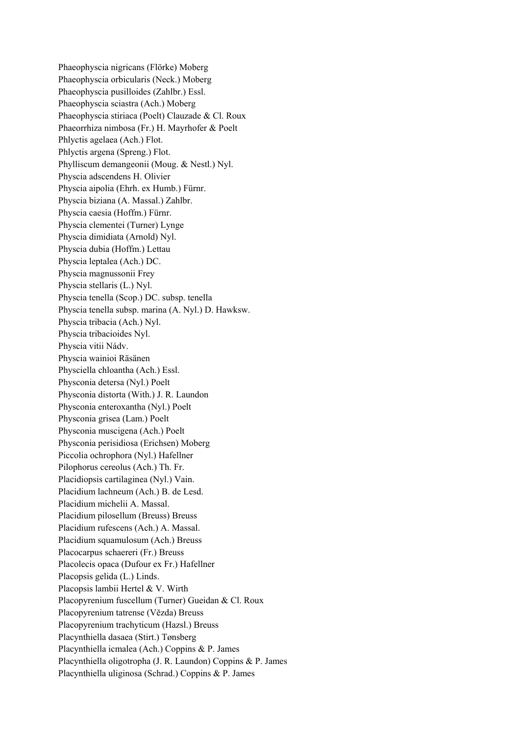Phaeophyscia nigricans (Flörke) Moberg Phaeophyscia orbicularis (Neck.) Moberg Phaeophyscia pusilloides (Zahlbr.) Essl. Phaeophyscia sciastra (Ach.) Moberg Phaeophyscia stiriaca (Poelt) Clauzade & Cl. Roux Phaeorrhiza nimbosa (Fr.) H. Mayrhofer & Poelt Phlyctis agelaea (Ach.) Flot. Phlyctis argena (Spreng.) Flot. Phylliscum demangeonii (Moug. & Nestl.) Nyl. Physcia adscendens H. Olivier Physcia aipolia (Ehrh. ex Humb.) Fürnr. Physcia biziana (A. Massal.) Zahlbr. Physcia caesia (Hoffm.) Fürnr. Physcia clementei (Turner) Lynge Physcia dimidiata (Arnold) Nyl. Physcia dubia (Hoffm.) Lettau Physcia leptalea (Ach.) DC. Physcia magnussonii Frey Physcia stellaris (L.) Nyl. Physcia tenella (Scop.) DC. subsp. tenella Physcia tenella subsp. marina (A. Nyl.) D. Hawksw. Physcia tribacia (Ach.) Nyl. Physcia tribacioides Nyl. Physcia vitii Nádv. Physcia wainioi Räsänen Physciella chloantha (Ach.) Essl. Physconia detersa (Nyl.) Poelt Physconia distorta (With.) J. R. Laundon Physconia enteroxantha (Nyl.) Poelt Physconia grisea (Lam.) Poelt Physconia muscigena (Ach.) Poelt Physconia perisidiosa (Erichsen) Moberg Piccolia ochrophora (Nyl.) Hafellner Pilophorus cereolus (Ach.) Th. Fr. Placidiopsis cartilaginea (Nyl.) Vain. Placidium lachneum (Ach.) B. de Lesd. Placidium michelii A. Massal. Placidium pilosellum (Breuss) Breuss Placidium rufescens (Ach.) A. Massal. Placidium squamulosum (Ach.) Breuss Placocarpus schaereri (Fr.) Breuss Placolecis opaca (Dufour ex Fr.) Hafellner Placopsis gelida (L.) Linds. Placopsis lambii Hertel & V. Wirth Placopyrenium fuscellum (Turner) Gueidan & Cl. Roux Placopyrenium tatrense (Vězda) Breuss Placopyrenium trachyticum (Hazsl.) Breuss Placynthiella dasaea (Stirt.) Tønsberg Placynthiella icmalea (Ach.) Coppins & P. James Placynthiella oligotropha (J. R. Laundon) Coppins & P. James Placynthiella uliginosa (Schrad.) Coppins & P. James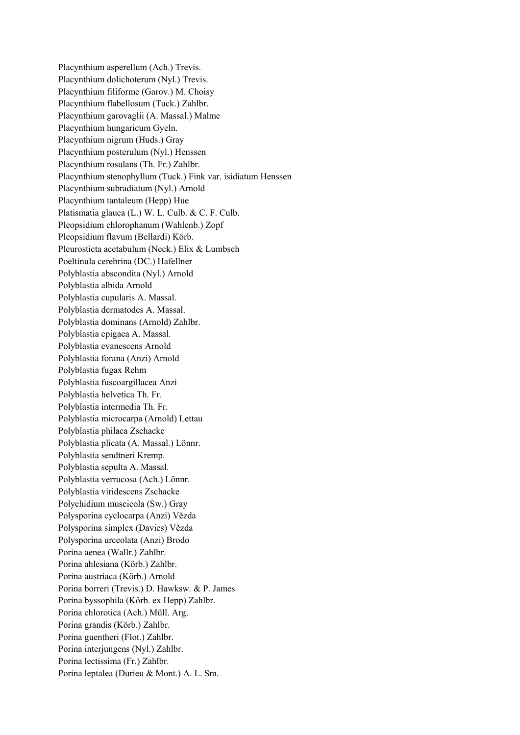Placynthium asperellum (Ach.) Trevis. Placynthium dolichoterum (Nyl.) Trevis. Placynthium filiforme (Garov.) M. Choisy Placynthium flabellosum (Tuck.) Zahlbr. Placynthium garovaglii (A. Massal.) Malme Placynthium hungaricum Gyeln. Placynthium nigrum (Huds.) Gray Placynthium posterulum (Nyl.) Henssen Placynthium rosulans (Th. Fr.) Zahlbr. Placynthium stenophyllum (Tuck.) Fink var. isidiatum Henssen Placynthium subradiatum (Nyl.) Arnold Placynthium tantaleum (Hepp) Hue Platismatia glauca (L.) W. L. Culb. & C. F. Culb. Pleopsidium chlorophanum (Wahlenb.) Zopf Pleopsidium flavum (Bellardi) Körb. Pleurosticta acetabulum (Neck.) Elix & Lumbsch Poeltinula cerebrina (DC.) Hafellner Polyblastia abscondita (Nyl.) Arnold Polyblastia albida Arnold Polyblastia cupularis A. Massal. Polyblastia dermatodes A. Massal. Polyblastia dominans (Arnold) Zahlbr. Polyblastia epigaea A. Massal. Polyblastia evanescens Arnold Polyblastia forana (Anzi) Arnold Polyblastia fugax Rehm Polyblastia fuscoargillacea Anzi Polyblastia helvetica Th. Fr. Polyblastia intermedia Th. Fr. Polyblastia microcarpa (Arnold) Lettau Polyblastia philaea Zschacke Polyblastia plicata (A. Massal.) Lönnr. Polyblastia sendtneri Kremp. Polyblastia sepulta A. Massal. Polyblastia verrucosa (Ach.) Lönnr. Polyblastia viridescens Zschacke Polychidium muscicola (Sw.) Gray Polysporina cyclocarpa (Anzi) Vězda Polysporina simplex (Davies) Vězda Polysporina urceolata (Anzi) Brodo Porina aenea (Wallr.) Zahlbr. Porina ahlesiana (Körb.) Zahlbr. Porina austriaca (Körb.) Arnold Porina borreri (Trevis.) D. Hawksw. & P. James Porina byssophila (Körb. ex Hepp) Zahlbr. Porina chlorotica (Ach.) Müll. Arg. Porina grandis (Körb.) Zahlbr. Porina guentheri (Flot.) Zahlbr. Porina interjungens (Nyl.) Zahlbr. Porina lectissima (Fr.) Zahlbr. Porina leptalea (Durieu & Mont.) A. L. Sm.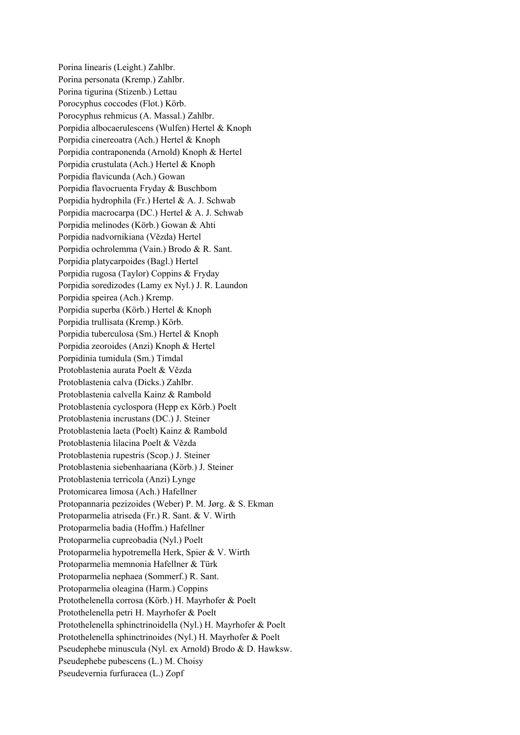Porina linearis (Leight.) Zahlbr. Porina personata (Kremp.) Zahlbr. Porina tigurina (Stizenb.) Lettau Porocyphus coccodes (Flot.) Körb. Porocyphus rehmicus (A. Massal.) Zahlbr. Porpidia albocaerulescens (Wulfen) Hertel & Knoph Porpidia cinereoatra (Ach.) Hertel & Knoph Porpidia contraponenda (Arnold) Knoph & Hertel Porpidia crustulata (Ach.) Hertel & Knoph Porpidia flavicunda (Ach.) Gowan Porpidia flavocruenta Fryday & Buschbom Porpidia hydrophila (Fr.) Hertel & A. J. Schwab Porpidia macrocarpa (DC.) Hertel & A. J. Schwab Porpidia melinodes (Körb.) Gowan & Ahti Porpidia nadvornikiana (Vězda) Hertel Porpidia ochrolemma (Vain.) Brodo & R. Sant. Porpidia platycarpoides (Bagl.) Hertel Porpidia rugosa (Taylor) Coppins & Fryday Porpidia soredizodes (Lamy ex Nyl.) J. R. Laundon Porpidia speirea (Ach.) Kremp. Porpidia superba (Körb.) Hertel & Knoph Porpidia trullisata (Kremp.) Körb. Porpidia tuberculosa (Sm.) Hertel & Knoph Porpidia zeoroides (Anzi) Knoph & Hertel Porpidinia tumidula (Sm.) Timdal Protoblastenia aurata Poelt & Vězda Protoblastenia calva (Dicks.) Zahlbr. Protoblastenia calvella Kainz & Rambold Protoblastenia cyclospora (Hepp ex Körb.) Poelt Protoblastenia incrustans (DC.) J. Steiner Protoblastenia laeta (Poelt) Kainz & Rambold Protoblastenia lilacina Poelt & Vězda Protoblastenia rupestris (Scop.) J. Steiner Protoblastenia siebenhaariana (Körb.) J. Steiner Protoblastenia terricola (Anzi) Lynge Protomicarea limosa (Ach.) Hafellner Protopannaria pezizoides (Weber) P. M. Jørg. & S. Ekman Protoparmelia atriseda (Fr.) R. Sant. & V. Wirth Protoparmelia badia (Hoffm.) Hafellner Protoparmelia cupreobadia (Nyl.) Poelt Protoparmelia hypotremella Herk, Spier & V. Wirth Protoparmelia memnonia Hafellner & Türk Protoparmelia nephaea (Sommerf.) R. Sant. Protoparmelia oleagina (Harm.) Coppins Protothelenella corrosa (Körb.) H. Mayrhofer & Poelt Protothelenella petri H. Mayrhofer & Poelt Protothelenella sphinctrinoidella (Nyl.) H. Mayrhofer & Poelt Protothelenella sphinctrinoides (Nyl.) H. Mayrhofer & Poelt Pseudephebe minuscula (Nyl. ex Arnold) Brodo & D. Hawksw. Pseudephebe pubescens (L.) M. Choisy Pseudevernia furfuracea (L.) Zopf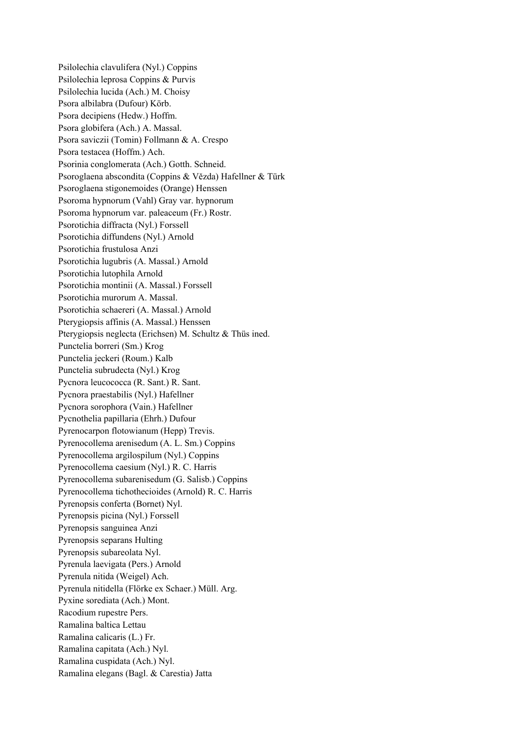Psilolechia clavulifera (Nyl.) Coppins Psilolechia leprosa Coppins & Purvis Psilolechia lucida (Ach.) M. Choisy Psora albilabra (Dufour) Körb. Psora decipiens (Hedw.) Hoffm. Psora globifera (Ach.) A. Massal. Psora saviczii (Tomin) Follmann & A. Crespo Psora testacea (Hoffm.) Ach. Psorinia conglomerata (Ach.) Gotth. Schneid. Psoroglaena abscondita (Coppins & Vězda) Hafellner & Türk Psoroglaena stigonemoides (Orange) Henssen Psoroma hypnorum (Vahl) Gray var. hypnorum Psoroma hypnorum var. paleaceum (Fr.) Rostr. Psorotichia diffracta (Nyl.) Forssell Psorotichia diffundens (Nyl.) Arnold Psorotichia frustulosa Anzi Psorotichia lugubris (A. Massal.) Arnold Psorotichia lutophila Arnold Psorotichia montinii (A. Massal.) Forssell Psorotichia murorum A. Massal. Psorotichia schaereri (A. Massal.) Arnold Pterygiopsis affinis (A. Massal.) Henssen Pterygiopsis neglecta (Erichsen) M. Schultz & Thüs ined. Punctelia borreri (Sm.) Krog Punctelia jeckeri (Roum.) Kalb Punctelia subrudecta (Nyl.) Krog Pycnora leucococca (R. Sant.) R. Sant. Pycnora praestabilis (Nyl.) Hafellner Pycnora sorophora (Vain.) Hafellner Pycnothelia papillaria (Ehrh.) Dufour Pyrenocarpon flotowianum (Hepp) Trevis. Pyrenocollema arenisedum (A. L. Sm.) Coppins Pyrenocollema argilospilum (Nyl.) Coppins Pyrenocollema caesium (Nyl.) R. C. Harris Pyrenocollema subarenisedum (G. Salisb.) Coppins Pyrenocollema tichothecioides (Arnold) R. C. Harris Pyrenopsis conferta (Bornet) Nyl. Pyrenopsis picina (Nyl.) Forssell Pyrenopsis sanguinea Anzi Pyrenopsis separans Hulting Pyrenopsis subareolata Nyl. Pyrenula laevigata (Pers.) Arnold Pyrenula nitida (Weigel) Ach. Pyrenula nitidella (Flörke ex Schaer.) Müll. Arg. Pyxine sorediata (Ach.) Mont. Racodium rupestre Pers. Ramalina baltica Lettau Ramalina calicaris (L.) Fr. Ramalina capitata (Ach.) Nyl. Ramalina cuspidata (Ach.) Nyl. Ramalina elegans (Bagl. & Carestia) Jatta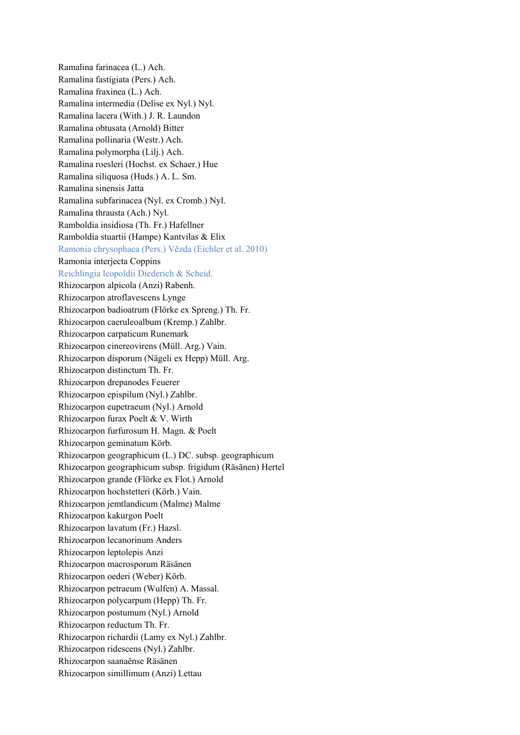Ramalina farinacea (L.) Ach. Ramalina fastigiata (Pers.) Ach. Ramalina fraxinea (L.) Ach. Ramalina intermedia (Delise ex Nyl.) Nyl. Ramalina lacera (With.) J. R. Laundon Ramalina obtusata (Arnold) Bitter Ramalina pollinaria (Westr.) Ach. Ramalina polymorpha (Lilj.) Ach. Ramalina roesleri (Hochst. ex Schaer.) Hue Ramalina siliquosa (Huds.) A. L. Sm. Ramalina sinensis Jatta Ramalina subfarinacea (Nyl. ex Cromb.) Nyl. Ramalina thrausta (Ach.) Nyl. Ramboldia insidiosa (Th. Fr.) Hafellner Ramboldia stuartii (Hampe) Kantvilas & Elix Ramonia chrysophaea (Pers.) Vězda (Eichler et al. 2010) Ramonia interjecta Coppins Reichlingia leopoldii Diederich & Scheid. Rhizocarpon alpicola (Anzi) Rabenh. Rhizocarpon atroflavescens Lynge Rhizocarpon badioatrum (Flörke ex Spreng.) Th. Fr. Rhizocarpon caeruleoalbum (Kremp.) Zahlbr. Rhizocarpon carpaticum Runemark Rhizocarpon cinereovirens (Müll. Arg.) Vain. Rhizocarpon disporum (Nägeli ex Hepp) Müll. Arg. Rhizocarpon distinctum Th. Fr. Rhizocarpon drepanodes Feuerer Rhizocarpon epispilum (Nyl.) Zahlbr. Rhizocarpon eupetraeum (Nyl.) Arnold Rhizocarpon furax Poelt & V. Wirth Rhizocarpon furfurosum H. Magn. & Poelt Rhizocarpon geminatum Körb. Rhizocarpon geographicum (L.) DC. subsp. geographicum Rhizocarpon geographicum subsp. frigidum (Räsänen) Hertel Rhizocarpon grande (Flörke ex Flot.) Arnold Rhizocarpon hochstetteri (Körb.) Vain. Rhizocarpon jemtlandicum (Malme) Malme Rhizocarpon kakurgon Poelt Rhizocarpon lavatum (Fr.) Hazsl. Rhizocarpon lecanorinum Anders Rhizocarpon leptolepis Anzi Rhizocarpon macrosporum Räsänen Rhizocarpon oederi (Weber) Körb. Rhizocarpon petraeum (Wulfen) A. Massal. Rhizocarpon polycarpum (Hepp) Th. Fr. Rhizocarpon postumum (Nyl.) Arnold Rhizocarpon reductum Th. Fr. Rhizocarpon richardii (Lamy ex Nyl.) Zahlbr. Rhizocarpon ridescens (Nyl.) Zahlbr. Rhizocarpon saanaënse Räsänen Rhizocarpon simillimum (Anzi) Lettau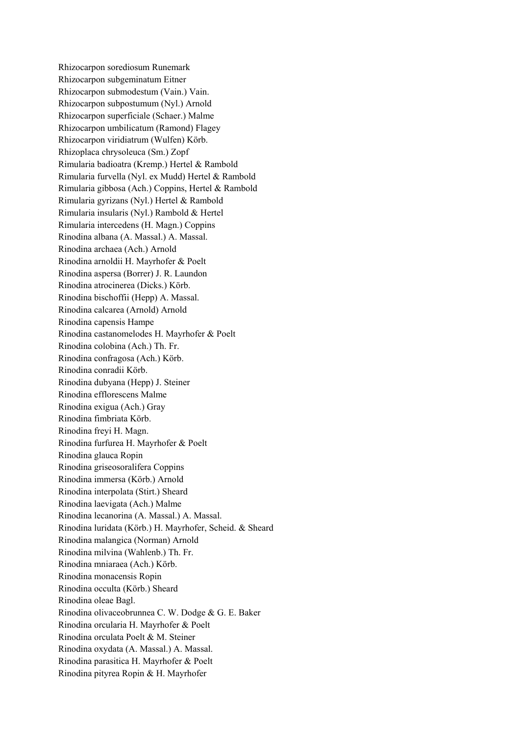Rhizocarpon sorediosum Runemark Rhizocarpon subgeminatum Eitner Rhizocarpon submodestum (Vain.) Vain. Rhizocarpon subpostumum (Nyl.) Arnold Rhizocarpon superficiale (Schaer.) Malme Rhizocarpon umbilicatum (Ramond) Flagey Rhizocarpon viridiatrum (Wulfen) Körb. Rhizoplaca chrysoleuca (Sm.) Zopf Rimularia badioatra (Kremp.) Hertel & Rambold Rimularia furvella (Nyl. ex Mudd) Hertel & Rambold Rimularia gibbosa (Ach.) Coppins, Hertel & Rambold Rimularia gyrizans (Nyl.) Hertel & Rambold Rimularia insularis (Nyl.) Rambold & Hertel Rimularia intercedens (H. Magn.) Coppins Rinodina albana (A. Massal.) A. Massal. Rinodina archaea (Ach.) Arnold Rinodina arnoldii H. Mayrhofer & Poelt Rinodina aspersa (Borrer) J. R. Laundon Rinodina atrocinerea (Dicks.) Körb. Rinodina bischoffii (Hepp) A. Massal. Rinodina calcarea (Arnold) Arnold Rinodina capensis Hampe Rinodina castanomelodes H. Mayrhofer & Poelt Rinodina colobina (Ach.) Th. Fr. Rinodina confragosa (Ach.) Körb. Rinodina conradii Körb. Rinodina dubyana (Hepp) J. Steiner Rinodina efflorescens Malme Rinodina exigua (Ach.) Gray Rinodina fimbriata Körb. Rinodina freyi H. Magn. Rinodina furfurea H. Mayrhofer & Poelt Rinodina glauca Ropin Rinodina griseosoralifera Coppins Rinodina immersa (Körb.) Arnold Rinodina interpolata (Stirt.) Sheard Rinodina laevigata (Ach.) Malme Rinodina lecanorina (A. Massal.) A. Massal. Rinodina luridata (Körb.) H. Mayrhofer, Scheid. & Sheard Rinodina malangica (Norman) Arnold Rinodina milvina (Wahlenb.) Th. Fr. Rinodina mniaraea (Ach.) Körb. Rinodina monacensis Ropin Rinodina occulta (Körb.) Sheard Rinodina oleae Bagl. Rinodina olivaceobrunnea C. W. Dodge & G. E. Baker Rinodina orcularia H. Mayrhofer & Poelt Rinodina orculata Poelt & M. Steiner Rinodina oxydata (A. Massal.) A. Massal. Rinodina parasitica H. Mayrhofer & Poelt Rinodina pityrea Ropin & H. Mayrhofer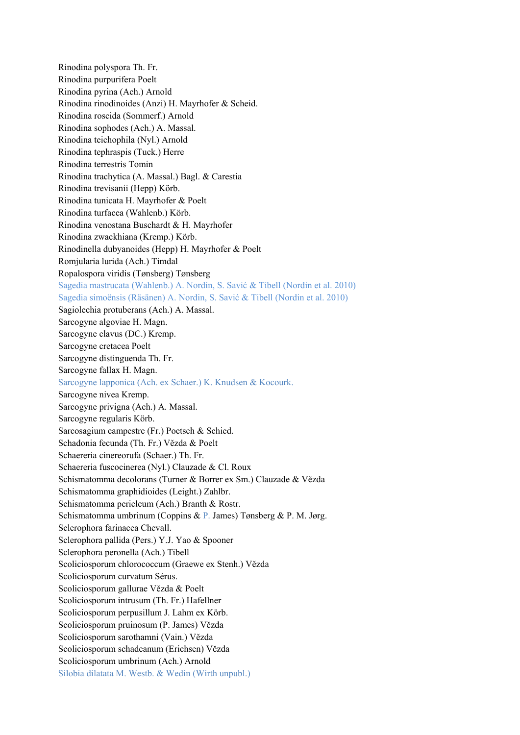Rinodina polyspora Th. Fr. Rinodina purpurifera Poelt Rinodina pyrina (Ach.) Arnold Rinodina rinodinoides (Anzi) H. Mayrhofer & Scheid. Rinodina roscida (Sommerf.) Arnold Rinodina sophodes (Ach.) A. Massal. Rinodina teichophila (Nyl.) Arnold Rinodina tephraspis (Tuck.) Herre Rinodina terrestris Tomin Rinodina trachytica (A. Massal.) Bagl. & Carestia Rinodina trevisanii (Hepp) Körb. Rinodina tunicata H. Mayrhofer & Poelt Rinodina turfacea (Wahlenb.) Körb. Rinodina venostana Buschardt & H. Mayrhofer Rinodina zwackhiana (Kremp.) Körb. Rinodinella dubyanoides (Hepp) H. Mayrhofer & Poelt Romjularia lurida (Ach.) Timdal Ropalospora viridis (Tønsberg) Tønsberg Sagedia mastrucata (Wahlenb.) A. Nordin, S. Savić & Tibell (Nordin et al. 2010) Sagedia simoënsis (Räsänen) A. Nordin, S. Savić & Tibell (Nordin et al. 2010) Sagiolechia protuberans (Ach.) A. Massal. Sarcogyne algoviae H. Magn. Sarcogyne clavus (DC.) Kremp. Sarcogyne cretacea Poelt Sarcogyne distinguenda Th. Fr. Sarcogyne fallax H. Magn. Sarcogyne lapponica (Ach. ex Schaer.) K. Knudsen & Kocourk. Sarcogyne nivea Kremp. Sarcogyne privigna (Ach.) A. Massal. Sarcogyne regularis Körb. Sarcosagium campestre (Fr.) Poetsch & Schied. Schadonia fecunda (Th. Fr.) Vězda & Poelt Schaereria cinereorufa (Schaer.) Th. Fr. Schaereria fuscocinerea (Nyl.) Clauzade & Cl. Roux Schismatomma decolorans (Turner & Borrer ex Sm.) Clauzade & Vězda Schismatomma graphidioides (Leight.) Zahlbr. Schismatomma pericleum (Ach.) Branth & Rostr. Schismatomma umbrinum (Coppins & P. James) Tønsberg & P. M. Jørg. Sclerophora farinacea Chevall. Sclerophora pallida (Pers.) Y.J. Yao & Spooner Sclerophora peronella (Ach.) Tibell Scoliciosporum chlorococcum (Graewe ex Stenh.) Vězda Scoliciosporum curvatum Sérus. Scoliciosporum gallurae Vězda & Poelt Scoliciosporum intrusum (Th. Fr.) Hafellner Scoliciosporum perpusillum J. Lahm ex Körb. Scoliciosporum pruinosum (P. James) Vězda Scoliciosporum sarothamni (Vain.) Vězda Scoliciosporum schadeanum (Erichsen) Vězda Scoliciosporum umbrinum (Ach.) Arnold Silobia dilatata M. Westb. & Wedin (Wirth unpubl.)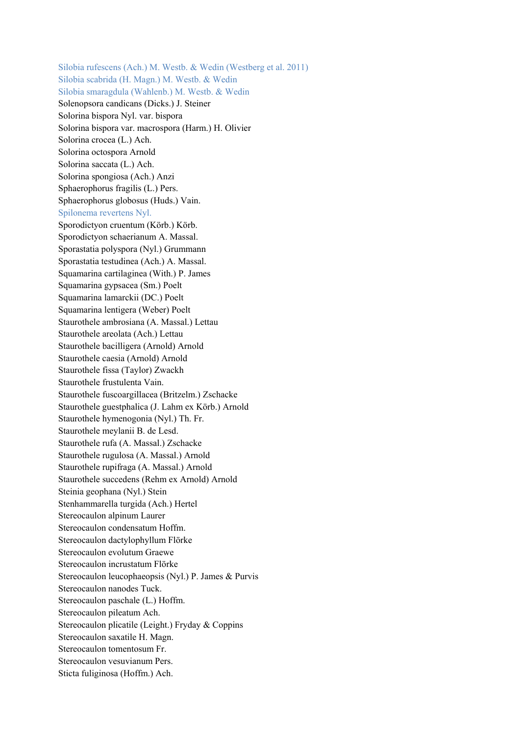Silobia rufescens (Ach.) M. Westb. & Wedin (Westberg et al. 2011) Silobia scabrida (H. Magn.) M. Westb. & Wedin Silobia smaragdula (Wahlenb.) M. Westb. & Wedin Solenopsora candicans (Dicks.) J. Steiner Solorina bispora Nyl. var. bispora Solorina bispora var. macrospora (Harm.) H. Olivier Solorina crocea (L.) Ach. Solorina octospora Arnold Solorina saccata (L.) Ach. Solorina spongiosa (Ach.) Anzi Sphaerophorus fragilis (L.) Pers. Sphaerophorus globosus (Huds.) Vain. Spilonema revertens Nyl. Sporodictyon cruentum (Körb.) Körb. Sporodictyon schaerianum A. Massal. Sporastatia polyspora (Nyl.) Grummann Sporastatia testudinea (Ach.) A. Massal. Squamarina cartilaginea (With.) P. James Squamarina gypsacea (Sm.) Poelt Squamarina lamarckii (DC.) Poelt Squamarina lentigera (Weber) Poelt Staurothele ambrosiana (A. Massal.) Lettau Staurothele areolata (Ach.) Lettau Staurothele bacilligera (Arnold) Arnold Staurothele caesia (Arnold) Arnold Staurothele fissa (Taylor) Zwackh Staurothele frustulenta Vain. Staurothele fuscoargillacea (Britzelm.) Zschacke Staurothele guestphalica (J. Lahm ex Körb.) Arnold Staurothele hymenogonia (Nyl.) Th. Fr. Staurothele meylanii B. de Lesd. Staurothele rufa (A. Massal.) Zschacke Staurothele rugulosa (A. Massal.) Arnold Staurothele rupifraga (A. Massal.) Arnold Staurothele succedens (Rehm ex Arnold) Arnold Steinia geophana (Nyl.) Stein Stenhammarella turgida (Ach.) Hertel Stereocaulon alpinum Laurer Stereocaulon condensatum Hoffm. Stereocaulon dactylophyllum Flörke Stereocaulon evolutum Graewe Stereocaulon incrustatum Flörke Stereocaulon leucophaeopsis (Nyl.) P. James & Purvis Stereocaulon nanodes Tuck. Stereocaulon paschale (L.) Hoffm. Stereocaulon pileatum Ach. Stereocaulon plicatile (Leight.) Fryday & Coppins Stereocaulon saxatile H. Magn. Stereocaulon tomentosum Fr. Stereocaulon vesuvianum Pers. Sticta fuliginosa (Hoffm.) Ach.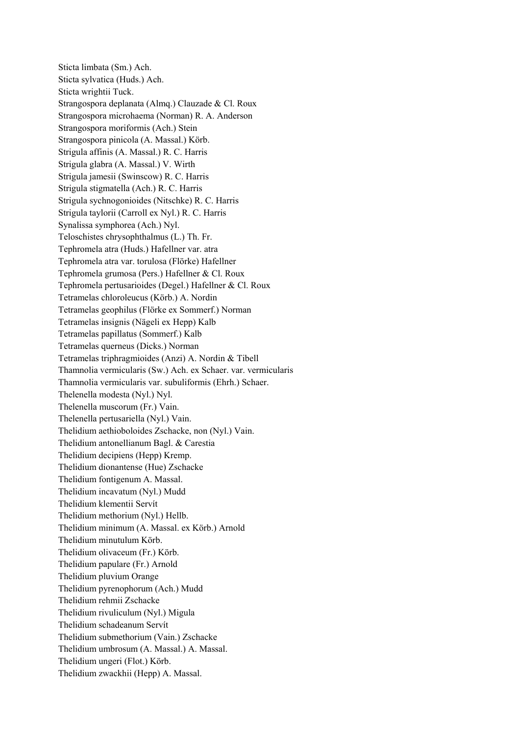Sticta limbata (Sm.) Ach. Sticta sylvatica (Huds.) Ach. Sticta wrightii Tuck. Strangospora deplanata (Almq.) Clauzade & Cl. Roux Strangospora microhaema (Norman) R. A. Anderson Strangospora moriformis (Ach.) Stein Strangospora pinicola (A. Massal.) Körb. Strigula affinis (A. Massal.) R. C. Harris Strigula glabra (A. Massal.) V. Wirth Strigula jamesii (Swinscow) R. C. Harris Strigula stigmatella (Ach.) R. C. Harris Strigula sychnogonioides (Nitschke) R. C. Harris Strigula taylorii (Carroll ex Nyl.) R. C. Harris Synalissa symphorea (Ach.) Nyl. Teloschistes chrysophthalmus (L.) Th. Fr. Tephromela atra (Huds.) Hafellner var. atra Tephromela atra var. torulosa (Flörke) Hafellner Tephromela grumosa (Pers.) Hafellner & Cl. Roux Tephromela pertusarioides (Degel.) Hafellner & Cl. Roux Tetramelas chloroleucus (Körb.) A. Nordin Tetramelas geophilus (Flörke ex Sommerf.) Norman Tetramelas insignis (Nägeli ex Hepp) Kalb Tetramelas papillatus (Sommerf.) Kalb Tetramelas querneus (Dicks.) Norman Tetramelas triphragmioides (Anzi) A. Nordin & Tibell Thamnolia vermicularis (Sw.) Ach. ex Schaer. var. vermicularis Thamnolia vermicularis var. subuliformis (Ehrh.) Schaer. Thelenella modesta (Nyl.) Nyl. Thelenella muscorum (Fr.) Vain. Thelenella pertusariella (Nyl.) Vain. Thelidium aethioboloides Zschacke, non (Nyl.) Vain. Thelidium antonellianum Bagl. & Carestia Thelidium decipiens (Hepp) Kremp. Thelidium dionantense (Hue) Zschacke Thelidium fontigenum A. Massal. Thelidium incavatum (Nyl.) Mudd Thelidium klementii Servít Thelidium methorium (Nyl.) Hellb. Thelidium minimum (A. Massal. ex Körb.) Arnold Thelidium minutulum Körb. Thelidium olivaceum (Fr.) Körb. Thelidium papulare (Fr.) Arnold Thelidium pluvium Orange Thelidium pyrenophorum (Ach.) Mudd Thelidium rehmii Zschacke Thelidium rivuliculum (Nyl.) Migula Thelidium schadeanum Servít Thelidium submethorium (Vain.) Zschacke Thelidium umbrosum (A. Massal.) A. Massal. Thelidium ungeri (Flot.) Körb. Thelidium zwackhii (Hepp) A. Massal.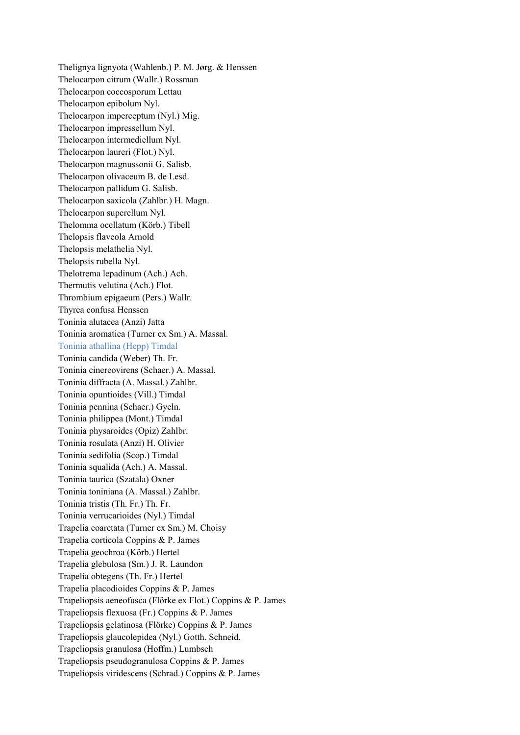Thelignya lignyota (Wahlenb.) P. M. Jørg. & Henssen Thelocarpon citrum (Wallr.) Rossman Thelocarpon coccosporum Lettau Thelocarpon epibolum Nyl. Thelocarpon imperceptum (Nyl.) Mig. Thelocarpon impressellum Nyl. Thelocarpon intermediellum Nyl. Thelocarpon laureri (Flot.) Nyl. Thelocarpon magnussonii G. Salisb. Thelocarpon olivaceum B. de Lesd. Thelocarpon pallidum G. Salisb. Thelocarpon saxicola (Zahlbr.) H. Magn. Thelocarpon superellum Nyl. Thelomma ocellatum (Körb.) Tibell Thelopsis flaveola Arnold Thelopsis melathelia Nyl. Thelopsis rubella Nyl. Thelotrema lepadinum (Ach.) Ach. Thermutis velutina (Ach.) Flot. Thrombium epigaeum (Pers.) Wallr. Thyrea confusa Henssen Toninia alutacea (Anzi) Jatta Toninia aromatica (Turner ex Sm.) A. Massal. Toninia athallina (Hepp) Timdal Toninia candida (Weber) Th. Fr. Toninia cinereovirens (Schaer.) A. Massal. Toninia diffracta (A. Massal.) Zahlbr. Toninia opuntioides (Vill.) Timdal Toninia pennina (Schaer.) Gyeln. Toninia philippea (Mont.) Timdal Toninia physaroides (Opiz) Zahlbr. Toninia rosulata (Anzi) H. Olivier Toninia sedifolia (Scop.) Timdal Toninia squalida (Ach.) A. Massal. Toninia taurica (Szatala) Oxner Toninia toniniana (A. Massal.) Zahlbr. Toninia tristis (Th. Fr.) Th. Fr. Toninia verrucarioides (Nyl.) Timdal Trapelia coarctata (Turner ex Sm.) M. Choisy Trapelia corticola Coppins & P. James Trapelia geochroa (Körb.) Hertel Trapelia glebulosa (Sm.) J. R. Laundon Trapelia obtegens (Th. Fr.) Hertel Trapelia placodioides Coppins & P. James Trapeliopsis aeneofusca (Flörke ex Flot.) Coppins & P. James Trapeliopsis flexuosa (Fr.) Coppins & P. James Trapeliopsis gelatinosa (Flörke) Coppins & P. James Trapeliopsis glaucolepidea (Nyl.) Gotth. Schneid. Trapeliopsis granulosa (Hoffm.) Lumbsch Trapeliopsis pseudogranulosa Coppins & P. James Trapeliopsis viridescens (Schrad.) Coppins & P. James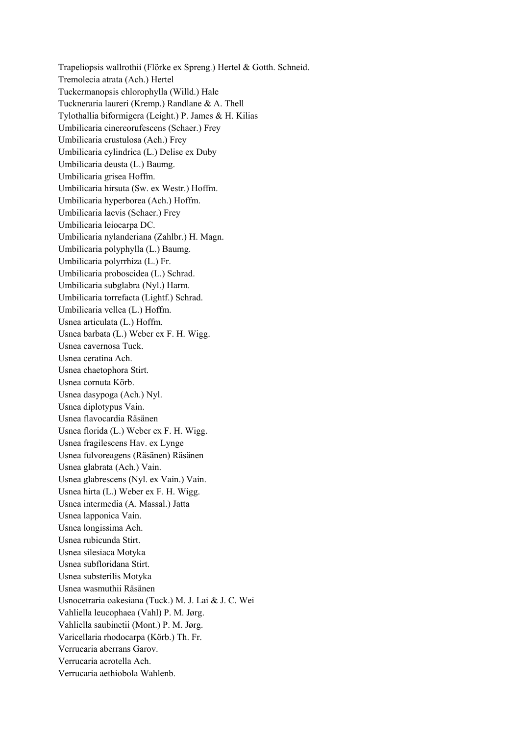Trapeliopsis wallrothii (Flörke ex Spreng.) Hertel & Gotth. Schneid. Tremolecia atrata (Ach.) Hertel Tuckermanopsis chlorophylla (Willd.) Hale Tuckneraria laureri (Kremp.) Randlane & A. Thell Tylothallia biformigera (Leight.) P. James & H. Kilias Umbilicaria cinereorufescens (Schaer.) Frey Umbilicaria crustulosa (Ach.) Frey Umbilicaria cylindrica (L.) Delise ex Duby Umbilicaria deusta (L.) Baumg. Umbilicaria grisea Hoffm. Umbilicaria hirsuta (Sw. ex Westr.) Hoffm. Umbilicaria hyperborea (Ach.) Hoffm. Umbilicaria laevis (Schaer.) Frey Umbilicaria leiocarpa DC. Umbilicaria nylanderiana (Zahlbr.) H. Magn. Umbilicaria polyphylla (L.) Baumg. Umbilicaria polyrrhiza (L.) Fr. Umbilicaria proboscidea (L.) Schrad. Umbilicaria subglabra (Nyl.) Harm. Umbilicaria torrefacta (Lightf.) Schrad. Umbilicaria vellea (L.) Hoffm. Usnea articulata (L.) Hoffm. Usnea barbata (L.) Weber ex F. H. Wigg. Usnea cavernosa Tuck. Usnea ceratina Ach. Usnea chaetophora Stirt. Usnea cornuta Körb. Usnea dasypoga (Ach.) Nyl. Usnea diplotypus Vain. Usnea flavocardia Räsänen Usnea florida (L.) Weber ex F. H. Wigg. Usnea fragilescens Hav. ex Lynge Usnea fulvoreagens (Räsänen) Räsänen Usnea glabrata (Ach.) Vain. Usnea glabrescens (Nyl. ex Vain.) Vain. Usnea hirta (L.) Weber ex F. H. Wigg. Usnea intermedia (A. Massal.) Jatta Usnea lapponica Vain. Usnea longissima Ach. Usnea rubicunda Stirt. Usnea silesiaca Motyka Usnea subfloridana Stirt. Usnea substerilis Motyka Usnea wasmuthii Räsänen Usnocetraria oakesiana (Tuck.) M. J. Lai & J. C. Wei Vahliella leucophaea (Vahl) P. M. Jørg. Vahliella saubinetii (Mont.) P. M. Jørg. Varicellaria rhodocarpa (Körb.) Th. Fr. Verrucaria aberrans Garov. Verrucaria acrotella Ach. Verrucaria aethiobola Wahlenb.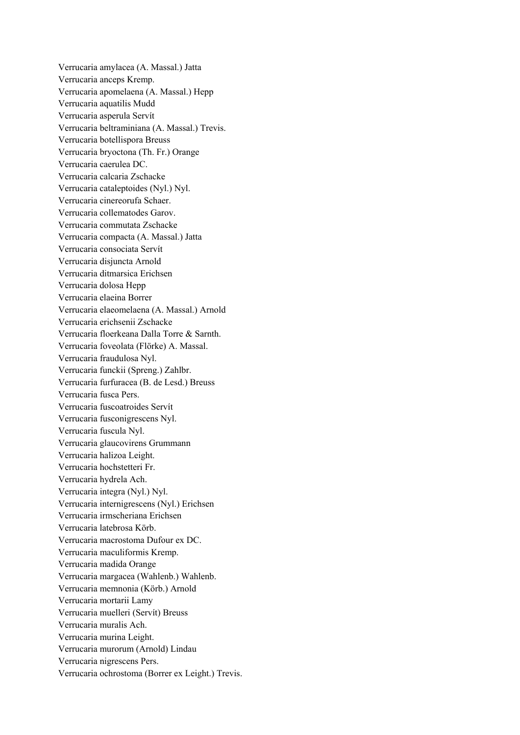Verrucaria amylacea (A. Massal.) Jatta Verrucaria anceps Kremp. Verrucaria apomelaena (A. Massal.) Hepp Verrucaria aquatilis Mudd Verrucaria asperula Servít Verrucaria beltraminiana (A. Massal.) Trevis. Verrucaria botellispora Breuss Verrucaria bryoctona (Th. Fr.) Orange Verrucaria caerulea DC. Verrucaria calcaria Zschacke Verrucaria cataleptoides (Nyl.) Nyl. Verrucaria cinereorufa Schaer. Verrucaria collematodes Garov. Verrucaria commutata Zschacke Verrucaria compacta (A. Massal.) Jatta Verrucaria consociata Servít Verrucaria disjuncta Arnold Verrucaria ditmarsica Erichsen Verrucaria dolosa Hepp Verrucaria elaeina Borrer Verrucaria elaeomelaena (A. Massal.) Arnold Verrucaria erichsenii Zschacke Verrucaria floerkeana Dalla Torre & Sarnth. Verrucaria foveolata (Flörke) A. Massal. Verrucaria fraudulosa Nyl. Verrucaria funckii (Spreng.) Zahlbr. Verrucaria furfuracea (B. de Lesd.) Breuss Verrucaria fusca Pers. Verrucaria fuscoatroides Servít Verrucaria fusconigrescens Nyl. Verrucaria fuscula Nyl. Verrucaria glaucovirens Grummann Verrucaria halizoa Leight. Verrucaria hochstetteri Fr. Verrucaria hydrela Ach. Verrucaria integra (Nyl.) Nyl. Verrucaria internigrescens (Nyl.) Erichsen Verrucaria irmscheriana Erichsen Verrucaria latebrosa Körb. Verrucaria macrostoma Dufour ex DC. Verrucaria maculiformis Kremp. Verrucaria madida Orange Verrucaria margacea (Wahlenb.) Wahlenb. Verrucaria memnonia (Körb.) Arnold Verrucaria mortarii Lamy Verrucaria muelleri (Servít) Breuss Verrucaria muralis Ach. Verrucaria murina Leight. Verrucaria murorum (Arnold) Lindau Verrucaria nigrescens Pers. Verrucaria ochrostoma (Borrer ex Leight.) Trevis.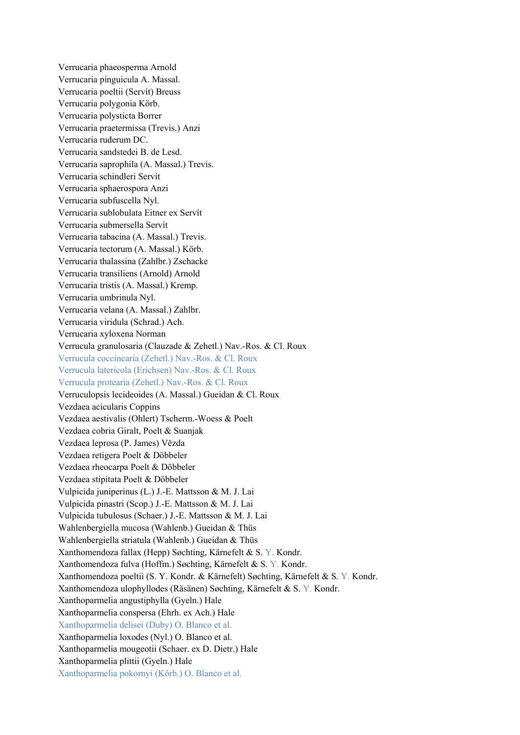Verrucaria phaeosperma Arnold Verrucaria pinguicula A. Massal. Verrucaria poeltii (Servít) Breuss Verrucaria polygonia Körb. Verrucaria polysticta Borrer Verrucaria praetermissa (Trevis.) Anzi Verrucaria ruderum DC. Verrucaria sandstedei B. de Lesd. Verrucaria saprophila (A. Massal.) Trevis. Verrucaria schindleri Servít Verrucaria sphaerospora Anzi Verrucaria subfuscella Nyl. Verrucaria sublobulata Eitner ex Servít Verrucaria submersella Servít Verrucaria tabacina (A. Massal.) Trevis. Verrucaria tectorum (A. Massal.) Körb. Verrucaria thalassina (Zahlbr.) Zschacke Verrucaria transiliens (Arnold) Arnold Verrucaria tristis (A. Massal.) Kremp. Verrucaria umbrinula Nyl. Verrucaria velana (A. Massal.) Zahlbr. Verrucaria viridula (Schrad.) Ach. Verrucaria xyloxena Norman Verrucula granulosaria (Clauzade & Zehetl.) Nav.-Ros. & Cl. Roux Verrucula coccinearia (Zehetl.) Nav.-Ros. & Cl. Roux Verrucula latericola (Erichsen) Nav.-Ros. & Cl. Roux Verrucula protearia (Zehetl.) Nav.-Ros. & Cl. Roux Verruculopsis lecideoides (A. Massal.) Gueidan & Cl. Roux Vezdaea acicularis Coppins Vezdaea aestivalis (Ohlert) Tscherm.-Woess & Poelt Vezdaea cobria Giralt, Poelt & Suanjak Vezdaea leprosa (P. James) Vězda Vezdaea retigera Poelt & Döbbeler Vezdaea rheocarpa Poelt & Döbbeler Vezdaea stipitata Poelt & Döbbeler Vulpicida juniperinus (L.) J.-E. Mattsson & M. J. Lai Vulpicida pinastri (Scop.) J.-E. Mattsson & M. J. Lai Vulpicida tubulosus (Schaer.) J.-E. Mattsson & M. J. Lai Wahlenbergiella mucosa (Wahlenb.) Gueidan & Thüs Wahlenbergiella striatula (Wahlenb.) Gueidan & Thüs Xanthomendoza fallax (Hepp) Søchting, Kärnefelt & S. Y. Kondr. Xanthomendoza fulva (Hoffm.) Søchting, Kärnefelt & S. Y. Kondr. Xanthomendoza poeltii (S. Y. Kondr. & Kärnefelt) Søchting, Kärnefelt & S. Y. Kondr. Xanthomendoza ulophyllodes (Räsänen) Søchting, Kärnefelt & S. Y. Kondr. Xanthoparmelia angustiphylla (Gyeln.) Hale Xanthoparmelia conspersa (Ehrh. ex Ach.) Hale Xanthoparmelia delisei (Duby) O. Blanco et al. Xanthoparmelia loxodes (Nyl.) O. Blanco et al. Xanthoparmelia mougeotii (Schaer. ex D. Dietr.) Hale Xanthoparmelia plittii (Gyeln.) Hale Xanthoparmelia pokornyi (Körb.) O. Blanco et al.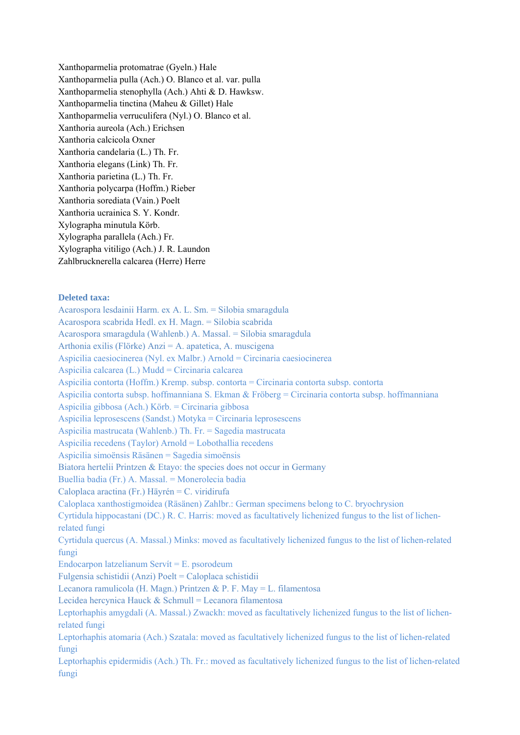Xanthoparmelia protomatrae (Gyeln.) Hale Xanthoparmelia pulla (Ach.) O. Blanco et al. var. pulla Xanthoparmelia stenophylla (Ach.) Ahti & D. Hawksw. Xanthoparmelia tinctina (Maheu & Gillet) Hale Xanthoparmelia verruculifera (Nyl.) O. Blanco et al. Xanthoria aureola (Ach.) Erichsen Xanthoria calcicola Oxner Xanthoria candelaria (L.) Th. Fr. Xanthoria elegans (Link) Th. Fr. Xanthoria parietina (L.) Th. Fr. Xanthoria polycarpa (Hoffm.) Rieber Xanthoria sorediata (Vain.) Poelt Xanthoria ucrainica S. Y. Kondr. Xylographa minutula Körb. Xylographa parallela (Ach.) Fr. Xylographa vitiligo (Ach.) J. R. Laundon Zahlbrucknerella calcarea (Herre) Herre

## **Deleted taxa:**

Acarospora lesdainii Harm. ex A. L. Sm. = Silobia smaragdula Acarospora scabrida Hedl. ex H. Magn. = Silobia scabrida Acarospora smaragdula (Wahlenb.) A. Massal. = Silobia smaragdula Arthonia exilis (Flörke) Anzi = A. apatetica, A. muscigena Aspicilia caesiocinerea (Nyl. ex Malbr.) Arnold = Circinaria caesiocinerea Aspicilia calcarea (L.) Mudd = Circinaria calcarea Aspicilia contorta (Hoffm.) Kremp. subsp. contorta = Circinaria contorta subsp. contorta Aspicilia contorta subsp. hoffmanniana S. Ekman & Fröberg = Circinaria contorta subsp. hoffmanniana Aspicilia gibbosa (Ach.) Körb. = Circinaria gibbosa Aspicilia leprosescens (Sandst.) Motyka = Circinaria leprosescens Aspicilia mastrucata (Wahlenb.) Th. Fr. = Sagedia mastrucata Aspicilia recedens (Taylor) Arnold = Lobothallia recedens Aspicilia simoënsis Räsänen = Sagedia simoënsis Biatora hertelii Printzen & Etayo: the species does not occur in Germany Buellia badia (Fr.) A. Massal. = Monerolecia badia Caloplaca aractina (Fr.) Häyrén = C. viridirufa Caloplaca xanthostigmoidea (Räsänen) Zahlbr.: German specimens belong to C. bryochrysion Cyrtidula hippocastani (DC.) R. C. Harris: moved as facultatively lichenized fungus to the list of lichenrelated fungi Cyrtidula quercus (A. Massal.) Minks: moved as facultatively lichenized fungus to the list of lichen-related fungi Endocarpon latzelianum Servít = E. psorodeum Fulgensia schistidii (Anzi) Poelt = Caloplaca schistidii Lecanora ramulicola (H. Magn.) Printzen & P. F. May = L. filamentosa Lecidea hercynica Hauck & Schmull = Lecanora filamentosa Leptorhaphis amygdali (A. Massal.) Zwackh: moved as facultatively lichenized fungus to the list of lichenrelated fungi Leptorhaphis atomaria (Ach.) Szatala: moved as facultatively lichenized fungus to the list of lichen-related fungi

Leptorhaphis epidermidis (Ach.) Th. Fr.: moved as facultatively lichenized fungus to the list of lichen-related fungi